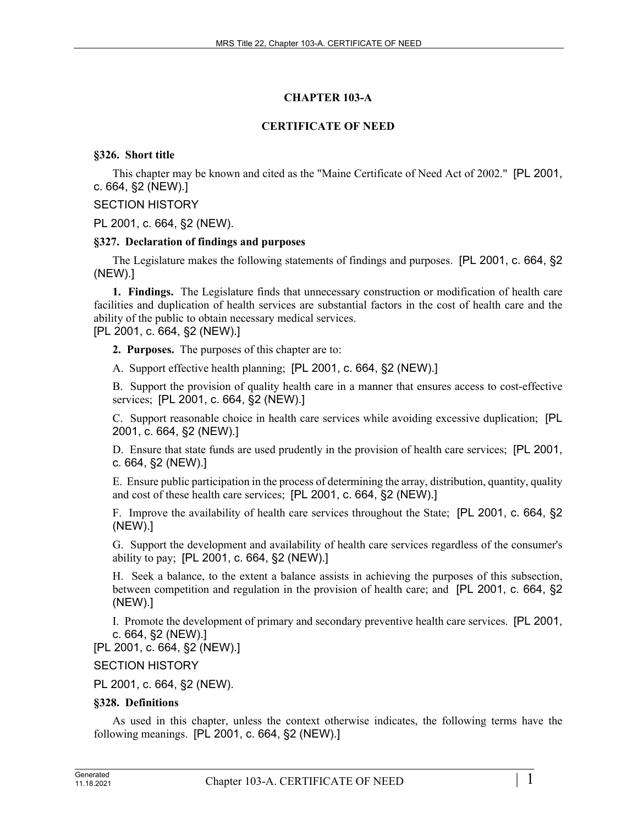# **CHAPTER 103-A**

# **CERTIFICATE OF NEED**

# **§326. Short title**

This chapter may be known and cited as the "Maine Certificate of Need Act of 2002." [PL 2001, c. 664, §2 (NEW).]

# SECTION HISTORY

PL 2001, c. 664, §2 (NEW).

## **§327. Declaration of findings and purposes**

The Legislature makes the following statements of findings and purposes. [PL 2001, c. 664, §2 (NEW).]

**1. Findings.** The Legislature finds that unnecessary construction or modification of health care facilities and duplication of health services are substantial factors in the cost of health care and the ability of the public to obtain necessary medical services.

[PL 2001, c. 664, §2 (NEW).]

**2. Purposes.** The purposes of this chapter are to:

A. Support effective health planning; [PL 2001, c. 664, §2 (NEW).]

B. Support the provision of quality health care in a manner that ensures access to cost-effective services; [PL 2001, c. 664, §2 (NEW).]

C. Support reasonable choice in health care services while avoiding excessive duplication; [PL 2001, c. 664, §2 (NEW).]

D. Ensure that state funds are used prudently in the provision of health care services; [PL 2001, c. 664, §2 (NEW).]

E. Ensure public participation in the process of determining the array, distribution, quantity, quality and cost of these health care services; [PL 2001, c. 664, §2 (NEW).]

F. Improve the availability of health care services throughout the State; [PL 2001, c. 664, §2 (NEW).]

G. Support the development and availability of health care services regardless of the consumer's ability to pay; [PL 2001, c. 664, §2 (NEW).]

H. Seek a balance, to the extent a balance assists in achieving the purposes of this subsection, between competition and regulation in the provision of health care; and [PL 2001, c. 664, §2 (NEW).]

I. Promote the development of primary and secondary preventive health care services. [PL 2001, c. 664, §2 (NEW).]

[PL 2001, c. 664, §2 (NEW).]

# SECTION HISTORY

PL 2001, c. 664, §2 (NEW).

# **§328. Definitions**

As used in this chapter, unless the context otherwise indicates, the following terms have the following meanings. [PL 2001, c. 664, §2 (NEW).]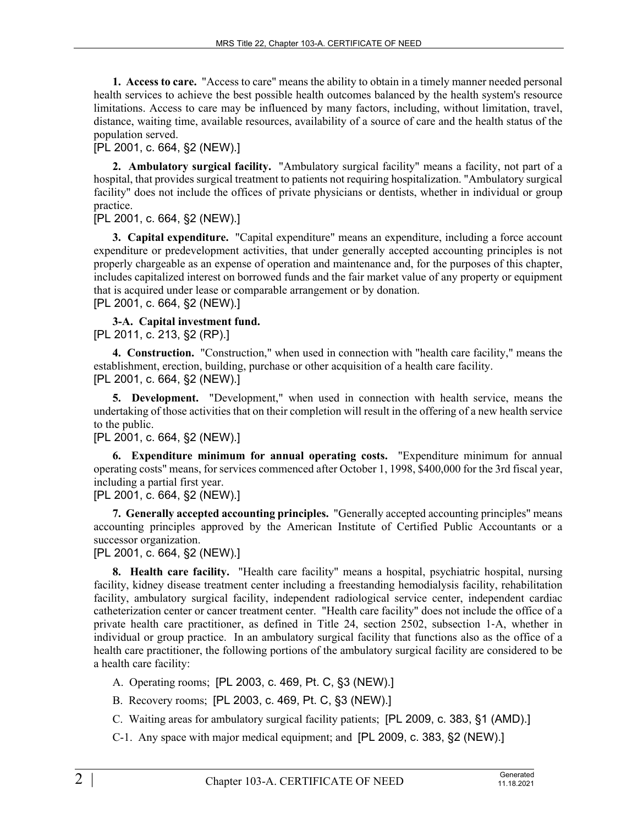**1. Access to care.** "Access to care" means the ability to obtain in a timely manner needed personal health services to achieve the best possible health outcomes balanced by the health system's resource limitations. Access to care may be influenced by many factors, including, without limitation, travel, distance, waiting time, available resources, availability of a source of care and the health status of the population served.

## [PL 2001, c. 664, §2 (NEW).]

**2. Ambulatory surgical facility.** "Ambulatory surgical facility" means a facility, not part of a hospital, that provides surgical treatment to patients not requiring hospitalization. "Ambulatory surgical facility" does not include the offices of private physicians or dentists, whether in individual or group practice.

## [PL 2001, c. 664, §2 (NEW).]

**3. Capital expenditure.** "Capital expenditure" means an expenditure, including a force account expenditure or predevelopment activities, that under generally accepted accounting principles is not properly chargeable as an expense of operation and maintenance and, for the purposes of this chapter, includes capitalized interest on borrowed funds and the fair market value of any property or equipment that is acquired under lease or comparable arrangement or by donation. [PL 2001, c. 664, §2 (NEW).]

**3-A. Capital investment fund.**  [PL 2011, c. 213, §2 (RP).]

**4. Construction.** "Construction," when used in connection with "health care facility," means the establishment, erection, building, purchase or other acquisition of a health care facility. [PL 2001, c. 664, §2 (NEW).]

**5. Development.** "Development," when used in connection with health service, means the undertaking of those activities that on their completion will result in the offering of a new health service to the public.

# [PL 2001, c. 664, §2 (NEW).]

**6. Expenditure minimum for annual operating costs.** "Expenditure minimum for annual operating costs" means, for services commenced after October 1, 1998, \$400,000 for the 3rd fiscal year, including a partial first year.

# [PL 2001, c. 664, §2 (NEW).]

**7. Generally accepted accounting principles.** "Generally accepted accounting principles" means accounting principles approved by the American Institute of Certified Public Accountants or a successor organization.

[PL 2001, c. 664, §2 (NEW).]

**8. Health care facility.** "Health care facility" means a hospital, psychiatric hospital, nursing facility, kidney disease treatment center including a freestanding hemodialysis facility, rehabilitation facility, ambulatory surgical facility, independent radiological service center, independent cardiac catheterization center or cancer treatment center. "Health care facility" does not include the office of a private health care practitioner, as defined in Title 24, section 2502, subsection 1‑A, whether in individual or group practice. In an ambulatory surgical facility that functions also as the office of a health care practitioner, the following portions of the ambulatory surgical facility are considered to be a health care facility:

A. Operating rooms; [PL 2003, c. 469, Pt. C, §3 (NEW).]

B. Recovery rooms; [PL 2003, c. 469, Pt. C, §3 (NEW).]

C. Waiting areas for ambulatory surgical facility patients; [PL 2009, c. 383, §1 (AMD).]

C-1. Any space with major medical equipment; and [PL 2009, c. 383, §2 (NEW).]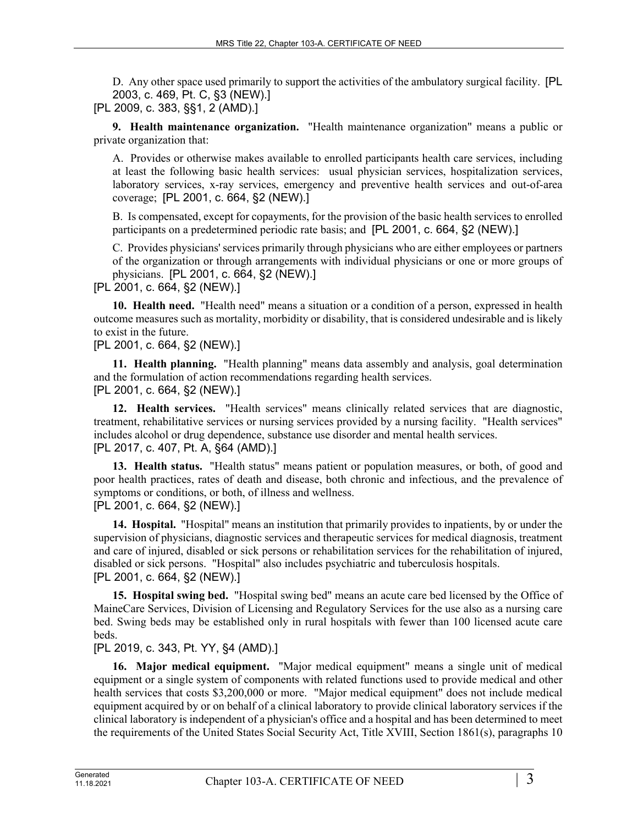D. Any other space used primarily to support the activities of the ambulatory surgical facility. [PL 2003, c. 469, Pt. C, §3 (NEW).]

[PL 2009, c. 383, §§1, 2 (AMD).]

**9. Health maintenance organization.** "Health maintenance organization" means a public or private organization that:

A. Provides or otherwise makes available to enrolled participants health care services, including at least the following basic health services: usual physician services, hospitalization services, laboratory services, x-ray services, emergency and preventive health services and out-of-area coverage; [PL 2001, c. 664, §2 (NEW).]

B. Is compensated, except for copayments, for the provision of the basic health services to enrolled participants on a predetermined periodic rate basis; and [PL 2001, c. 664, §2 (NEW).]

C. Provides physicians' services primarily through physicians who are either employees or partners of the organization or through arrangements with individual physicians or one or more groups of physicians. [PL 2001, c. 664, §2 (NEW).]

[PL 2001, c. 664, §2 (NEW).]

**10. Health need.** "Health need" means a situation or a condition of a person, expressed in health outcome measures such as mortality, morbidity or disability, that is considered undesirable and is likely to exist in the future.

[PL 2001, c. 664, §2 (NEW).]

**11. Health planning.** "Health planning" means data assembly and analysis, goal determination and the formulation of action recommendations regarding health services. [PL 2001, c. 664, §2 (NEW).]

**12. Health services.** "Health services" means clinically related services that are diagnostic, treatment, rehabilitative services or nursing services provided by a nursing facility. "Health services" includes alcohol or drug dependence, substance use disorder and mental health services. [PL 2017, c. 407, Pt. A, §64 (AMD).]

**13. Health status.** "Health status" means patient or population measures, or both, of good and poor health practices, rates of death and disease, both chronic and infectious, and the prevalence of symptoms or conditions, or both, of illness and wellness. [PL 2001, c. 664, §2 (NEW).]

**14. Hospital.** "Hospital" means an institution that primarily provides to inpatients, by or under the supervision of physicians, diagnostic services and therapeutic services for medical diagnosis, treatment and care of injured, disabled or sick persons or rehabilitation services for the rehabilitation of injured, disabled or sick persons. "Hospital" also includes psychiatric and tuberculosis hospitals. [PL 2001, c. 664, §2 (NEW).]

**15. Hospital swing bed.** "Hospital swing bed" means an acute care bed licensed by the Office of MaineCare Services, Division of Licensing and Regulatory Services for the use also as a nursing care bed. Swing beds may be established only in rural hospitals with fewer than 100 licensed acute care beds.

[PL 2019, c. 343, Pt. YY, §4 (AMD).]

**16. Major medical equipment.** "Major medical equipment" means a single unit of medical equipment or a single system of components with related functions used to provide medical and other health services that costs \$3,200,000 or more. "Major medical equipment" does not include medical equipment acquired by or on behalf of a clinical laboratory to provide clinical laboratory services if the clinical laboratory is independent of a physician's office and a hospital and has been determined to meet the requirements of the United States Social Security Act, Title XVIII, Section 1861(s), paragraphs 10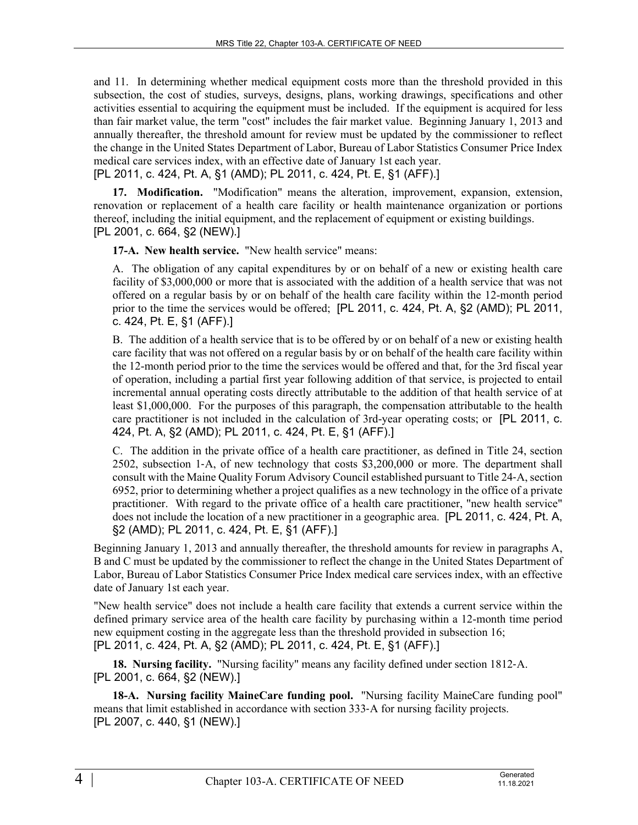and 11. In determining whether medical equipment costs more than the threshold provided in this subsection, the cost of studies, surveys, designs, plans, working drawings, specifications and other activities essential to acquiring the equipment must be included. If the equipment is acquired for less than fair market value, the term "cost" includes the fair market value. Beginning January 1, 2013 and annually thereafter, the threshold amount for review must be updated by the commissioner to reflect the change in the United States Department of Labor, Bureau of Labor Statistics Consumer Price Index medical care services index, with an effective date of January 1st each year.

[PL 2011, c. 424, Pt. A, §1 (AMD); PL 2011, c. 424, Pt. E, §1 (AFF).]

**17. Modification.** "Modification" means the alteration, improvement, expansion, extension, renovation or replacement of a health care facility or health maintenance organization or portions thereof, including the initial equipment, and the replacement of equipment or existing buildings. [PL 2001, c. 664, §2 (NEW).]

**17-A. New health service.** "New health service" means:

A. The obligation of any capital expenditures by or on behalf of a new or existing health care facility of \$3,000,000 or more that is associated with the addition of a health service that was not offered on a regular basis by or on behalf of the health care facility within the 12-month period prior to the time the services would be offered; [PL 2011, c. 424, Pt. A, §2 (AMD); PL 2011, c. 424, Pt. E, §1 (AFF).]

B. The addition of a health service that is to be offered by or on behalf of a new or existing health care facility that was not offered on a regular basis by or on behalf of the health care facility within the 12-month period prior to the time the services would be offered and that, for the 3rd fiscal year of operation, including a partial first year following addition of that service, is projected to entail incremental annual operating costs directly attributable to the addition of that health service of at least \$1,000,000. For the purposes of this paragraph, the compensation attributable to the health care practitioner is not included in the calculation of 3rd-year operating costs; or [PL 2011, c. 424, Pt. A, §2 (AMD); PL 2011, c. 424, Pt. E, §1 (AFF).]

C. The addition in the private office of a health care practitioner, as defined in Title 24, section 2502, subsection 1‑A, of new technology that costs \$3,200,000 or more. The department shall consult with the Maine Quality Forum Advisory Council established pursuant to Title 24‑A, section 6952, prior to determining whether a project qualifies as a new technology in the office of a private practitioner. With regard to the private office of a health care practitioner, "new health service" does not include the location of a new practitioner in a geographic area. [PL 2011, c. 424, Pt. A, §2 (AMD); PL 2011, c. 424, Pt. E, §1 (AFF).]

Beginning January 1, 2013 and annually thereafter, the threshold amounts for review in paragraphs A, B and C must be updated by the commissioner to reflect the change in the United States Department of Labor, Bureau of Labor Statistics Consumer Price Index medical care services index, with an effective date of January 1st each year.

"New health service" does not include a health care facility that extends a current service within the defined primary service area of the health care facility by purchasing within a 12-month time period new equipment costing in the aggregate less than the threshold provided in subsection 16; [PL 2011, c. 424, Pt. A, §2 (AMD); PL 2011, c. 424, Pt. E, §1 (AFF).]

**18. Nursing facility.** "Nursing facility" means any facility defined under section 1812‑A. [PL 2001, c. 664, §2 (NEW).]

**18-A. Nursing facility MaineCare funding pool.** "Nursing facility MaineCare funding pool" means that limit established in accordance with section 333‑A for nursing facility projects. [PL 2007, c. 440, §1 (NEW).]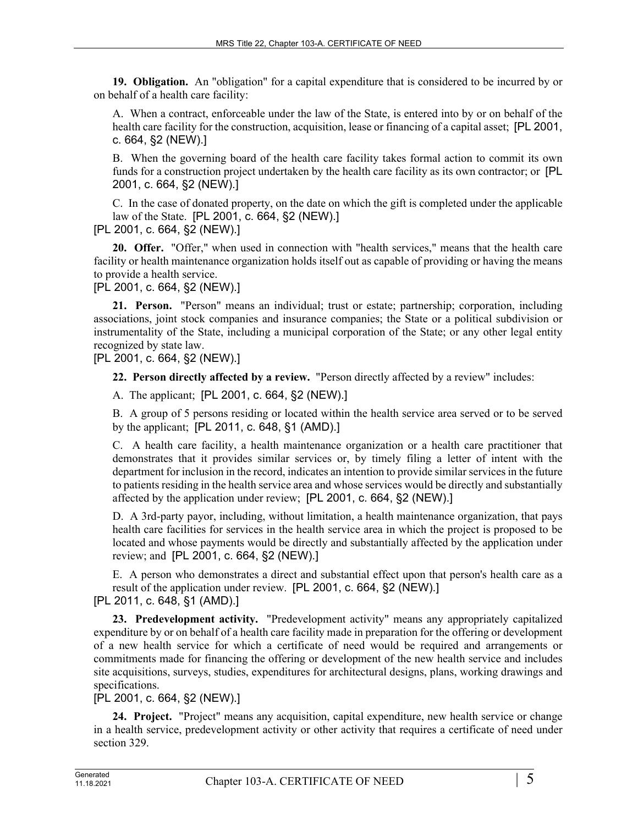**19. Obligation.** An "obligation" for a capital expenditure that is considered to be incurred by or on behalf of a health care facility:

A. When a contract, enforceable under the law of the State, is entered into by or on behalf of the health care facility for the construction, acquisition, lease or financing of a capital asset; [PL 2001, c. 664, §2 (NEW).]

B. When the governing board of the health care facility takes formal action to commit its own funds for a construction project undertaken by the health care facility as its own contractor; or [PL 2001, c. 664, §2 (NEW).]

C. In the case of donated property, on the date on which the gift is completed under the applicable law of the State. [PL 2001, c. 664, §2 (NEW).]

[PL 2001, c. 664, §2 (NEW).]

**20. Offer.** "Offer," when used in connection with "health services," means that the health care facility or health maintenance organization holds itself out as capable of providing or having the means to provide a health service.

# [PL 2001, c. 664, §2 (NEW).]

**21. Person.** "Person" means an individual; trust or estate; partnership; corporation, including associations, joint stock companies and insurance companies; the State or a political subdivision or instrumentality of the State, including a municipal corporation of the State; or any other legal entity recognized by state law.

[PL 2001, c. 664, §2 (NEW).]

**22. Person directly affected by a review.** "Person directly affected by a review" includes:

A. The applicant; [PL 2001, c. 664, §2 (NEW).]

B. A group of 5 persons residing or located within the health service area served or to be served by the applicant; [PL 2011, c. 648, §1 (AMD).]

C. A health care facility, a health maintenance organization or a health care practitioner that demonstrates that it provides similar services or, by timely filing a letter of intent with the department for inclusion in the record, indicates an intention to provide similar services in the future to patients residing in the health service area and whose services would be directly and substantially affected by the application under review; [PL 2001, c. 664, §2 (NEW).]

D. A 3rd-party payor, including, without limitation, a health maintenance organization, that pays health care facilities for services in the health service area in which the project is proposed to be located and whose payments would be directly and substantially affected by the application under review; and [PL 2001, c. 664, §2 (NEW).]

E. A person who demonstrates a direct and substantial effect upon that person's health care as a result of the application under review. [PL 2001, c. 664, §2 (NEW).]

[PL 2011, c. 648, §1 (AMD).]

**23. Predevelopment activity.** "Predevelopment activity" means any appropriately capitalized expenditure by or on behalf of a health care facility made in preparation for the offering or development of a new health service for which a certificate of need would be required and arrangements or commitments made for financing the offering or development of the new health service and includes site acquisitions, surveys, studies, expenditures for architectural designs, plans, working drawings and specifications.

# [PL 2001, c. 664, §2 (NEW).]

**24. Project.** "Project" means any acquisition, capital expenditure, new health service or change in a health service, predevelopment activity or other activity that requires a certificate of need under section 329.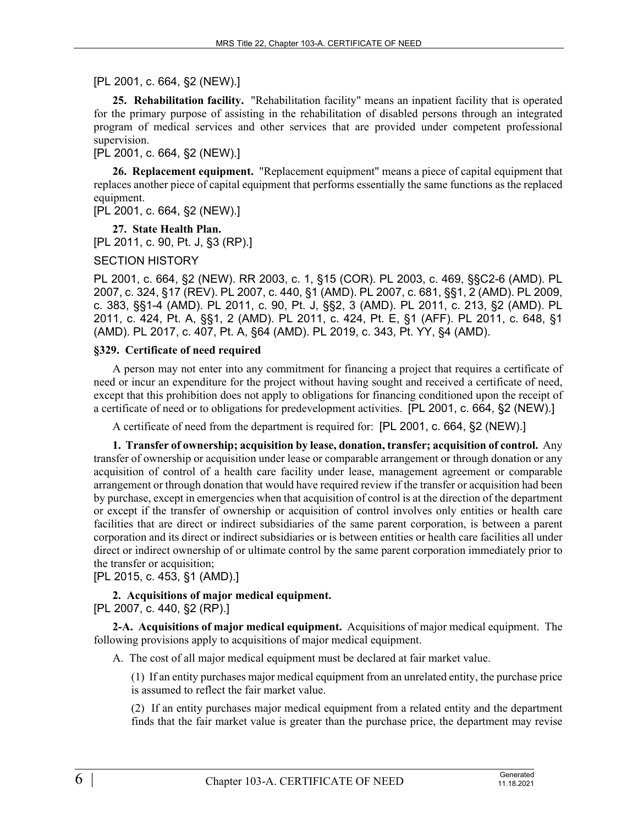# [PL 2001, c. 664, §2 (NEW).]

**25. Rehabilitation facility.** "Rehabilitation facility" means an inpatient facility that is operated for the primary purpose of assisting in the rehabilitation of disabled persons through an integrated program of medical services and other services that are provided under competent professional supervision.

[PL 2001, c. 664, §2 (NEW).]

**26. Replacement equipment.** "Replacement equipment" means a piece of capital equipment that replaces another piece of capital equipment that performs essentially the same functions as the replaced equipment.

[PL 2001, c. 664, §2 (NEW).]

**27. State Health Plan.**  [PL 2011, c. 90, Pt. J, §3 (RP).]

SECTION HISTORY

PL 2001, c. 664, §2 (NEW). RR 2003, c. 1, §15 (COR). PL 2003, c. 469, §§C2-6 (AMD). PL 2007, c. 324, §17 (REV). PL 2007, c. 440, §1 (AMD). PL 2007, c. 681, §§1, 2 (AMD). PL 2009, c. 383, §§1-4 (AMD). PL 2011, c. 90, Pt. J, §§2, 3 (AMD). PL 2011, c. 213, §2 (AMD). PL 2011, c. 424, Pt. A, §§1, 2 (AMD). PL 2011, c. 424, Pt. E, §1 (AFF). PL 2011, c. 648, §1 (AMD). PL 2017, c. 407, Pt. A, §64 (AMD). PL 2019, c. 343, Pt. YY, §4 (AMD).

### **§329. Certificate of need required**

A person may not enter into any commitment for financing a project that requires a certificate of need or incur an expenditure for the project without having sought and received a certificate of need, except that this prohibition does not apply to obligations for financing conditioned upon the receipt of a certificate of need or to obligations for predevelopment activities. [PL 2001, c. 664, §2 (NEW).]

A certificate of need from the department is required for: [PL 2001, c. 664, §2 (NEW).]

**1. Transfer of ownership; acquisition by lease, donation, transfer; acquisition of control.** Any transfer of ownership or acquisition under lease or comparable arrangement or through donation or any acquisition of control of a health care facility under lease, management agreement or comparable arrangement or through donation that would have required review if the transfer or acquisition had been by purchase, except in emergencies when that acquisition of control is at the direction of the department or except if the transfer of ownership or acquisition of control involves only entities or health care facilities that are direct or indirect subsidiaries of the same parent corporation, is between a parent corporation and its direct or indirect subsidiaries or is between entities or health care facilities all under direct or indirect ownership of or ultimate control by the same parent corporation immediately prior to the transfer or acquisition;

[PL 2015, c. 453, §1 (AMD).]

**2. Acquisitions of major medical equipment.**  [PL 2007, c. 440, §2 (RP).]

**2-A. Acquisitions of major medical equipment.** Acquisitions of major medical equipment. The following provisions apply to acquisitions of major medical equipment.

A. The cost of all major medical equipment must be declared at fair market value.

(1) If an entity purchases major medical equipment from an unrelated entity, the purchase price is assumed to reflect the fair market value.

(2) If an entity purchases major medical equipment from a related entity and the department finds that the fair market value is greater than the purchase price, the department may revise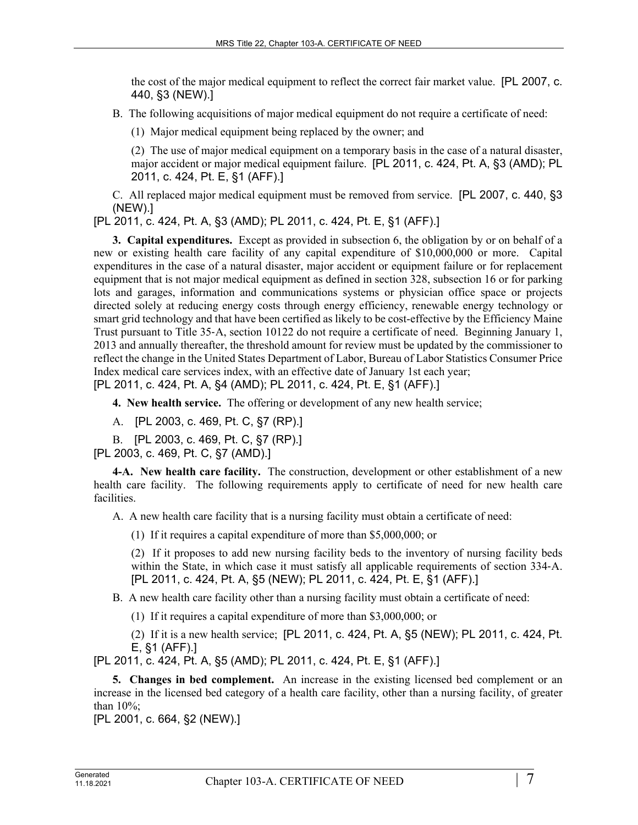the cost of the major medical equipment to reflect the correct fair market value. [PL 2007, c. 440, §3 (NEW).]

B. The following acquisitions of major medical equipment do not require a certificate of need:

(1) Major medical equipment being replaced by the owner; and

(2) The use of major medical equipment on a temporary basis in the case of a natural disaster, major accident or major medical equipment failure. [PL 2011, c. 424, Pt. A, §3 (AMD); PL 2011, c. 424, Pt. E, §1 (AFF).]

C. All replaced major medical equipment must be removed from service. [PL 2007, c. 440, §3 (NEW).]

[PL 2011, c. 424, Pt. A, §3 (AMD); PL 2011, c. 424, Pt. E, §1 (AFF).]

**3. Capital expenditures.** Except as provided in subsection 6, the obligation by or on behalf of a new or existing health care facility of any capital expenditure of \$10,000,000 or more. Capital expenditures in the case of a natural disaster, major accident or equipment failure or for replacement equipment that is not major medical equipment as defined in section 328, subsection 16 or for parking lots and garages, information and communications systems or physician office space or projects directed solely at reducing energy costs through energy efficiency, renewable energy technology or smart grid technology and that have been certified as likely to be cost-effective by the Efficiency Maine Trust pursuant to Title 35‑A, section 10122 do not require a certificate of need. Beginning January 1, 2013 and annually thereafter, the threshold amount for review must be updated by the commissioner to reflect the change in the United States Department of Labor, Bureau of Labor Statistics Consumer Price Index medical care services index, with an effective date of January 1st each year; [PL 2011, c. 424, Pt. A, §4 (AMD); PL 2011, c. 424, Pt. E, §1 (AFF).]

**4. New health service.** The offering or development of any new health service;

A. [PL 2003, c. 469, Pt. C, §7 (RP).]

B. [PL 2003, c. 469, Pt. C, §7 (RP).]

[PL 2003, c. 469, Pt. C, §7 (AMD).]

**4-A. New health care facility.** The construction, development or other establishment of a new health care facility. The following requirements apply to certificate of need for new health care facilities.

A. A new health care facility that is a nursing facility must obtain a certificate of need:

(1) If it requires a capital expenditure of more than \$5,000,000; or

(2) If it proposes to add new nursing facility beds to the inventory of nursing facility beds within the State, in which case it must satisfy all applicable requirements of section 334-A. [PL 2011, c. 424, Pt. A, §5 (NEW); PL 2011, c. 424, Pt. E, §1 (AFF).]

B. A new health care facility other than a nursing facility must obtain a certificate of need:

(1) If it requires a capital expenditure of more than \$3,000,000; or

(2) If it is a new health service; [PL 2011, c. 424, Pt. A, §5 (NEW); PL 2011, c. 424, Pt. E, §1 (AFF).]

[PL 2011, c. 424, Pt. A, §5 (AMD); PL 2011, c. 424, Pt. E, §1 (AFF).]

**5. Changes in bed complement.** An increase in the existing licensed bed complement or an increase in the licensed bed category of a health care facility, other than a nursing facility, of greater than 10%;

[PL 2001, c. 664, §2 (NEW).]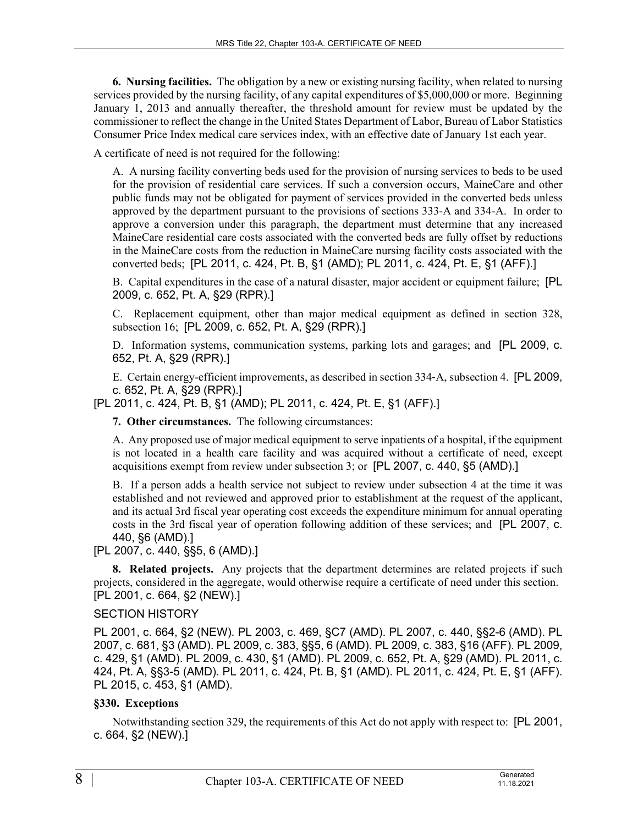**6. Nursing facilities.** The obligation by a new or existing nursing facility, when related to nursing services provided by the nursing facility, of any capital expenditures of \$5,000,000 or more. Beginning January 1, 2013 and annually thereafter, the threshold amount for review must be updated by the commissioner to reflect the change in the United States Department of Labor, Bureau of Labor Statistics Consumer Price Index medical care services index, with an effective date of January 1st each year.

A certificate of need is not required for the following:

A. A nursing facility converting beds used for the provision of nursing services to beds to be used for the provision of residential care services. If such a conversion occurs, MaineCare and other public funds may not be obligated for payment of services provided in the converted beds unless approved by the department pursuant to the provisions of sections 333-A and 334-A. In order to approve a conversion under this paragraph, the department must determine that any increased MaineCare residential care costs associated with the converted beds are fully offset by reductions in the MaineCare costs from the reduction in MaineCare nursing facility costs associated with the converted beds; [PL 2011, c. 424, Pt. B, §1 (AMD); PL 2011, c. 424, Pt. E, §1 (AFF).]

B. Capital expenditures in the case of a natural disaster, major accident or equipment failure; [PL 2009, c. 652, Pt. A, §29 (RPR).]

C. Replacement equipment, other than major medical equipment as defined in section 328, subsection 16; [PL 2009, c. 652, Pt. A, §29 (RPR).]

D. Information systems, communication systems, parking lots and garages; and [PL 2009, c. 652, Pt. A, §29 (RPR).]

E. Certain energy-efficient improvements, as described in section 334‑A, subsection 4. [PL 2009, c. 652, Pt. A, §29 (RPR).]

[PL 2011, c. 424, Pt. B, §1 (AMD); PL 2011, c. 424, Pt. E, §1 (AFF).]

**7. Other circumstances.** The following circumstances:

A. Any proposed use of major medical equipment to serve inpatients of a hospital, if the equipment is not located in a health care facility and was acquired without a certificate of need, except acquisitions exempt from review under subsection 3; or [PL 2007, c. 440, §5 (AMD).]

B. If a person adds a health service not subject to review under subsection 4 at the time it was established and not reviewed and approved prior to establishment at the request of the applicant, and its actual 3rd fiscal year operating cost exceeds the expenditure minimum for annual operating costs in the 3rd fiscal year of operation following addition of these services; and [PL 2007, c. 440, §6 (AMD).]

[PL 2007, c. 440, §§5, 6 (AMD).]

**8. Related projects.** Any projects that the department determines are related projects if such projects, considered in the aggregate, would otherwise require a certificate of need under this section. [PL 2001, c. 664, §2 (NEW).]

# SECTION HISTORY

PL 2001, c. 664, §2 (NEW). PL 2003, c. 469, §C7 (AMD). PL 2007, c. 440, §§2-6 (AMD). PL 2007, c. 681, §3 (AMD). PL 2009, c. 383, §§5, 6 (AMD). PL 2009, c. 383, §16 (AFF). PL 2009, c. 429, §1 (AMD). PL 2009, c. 430, §1 (AMD). PL 2009, c. 652, Pt. A, §29 (AMD). PL 2011, c. 424, Pt. A, §§3-5 (AMD). PL 2011, c. 424, Pt. B, §1 (AMD). PL 2011, c. 424, Pt. E, §1 (AFF). PL 2015, c. 453, §1 (AMD).

### **§330. Exceptions**

Notwithstanding section 329, the requirements of this Act do not apply with respect to: [PL 2001, c. 664, §2 (NEW).]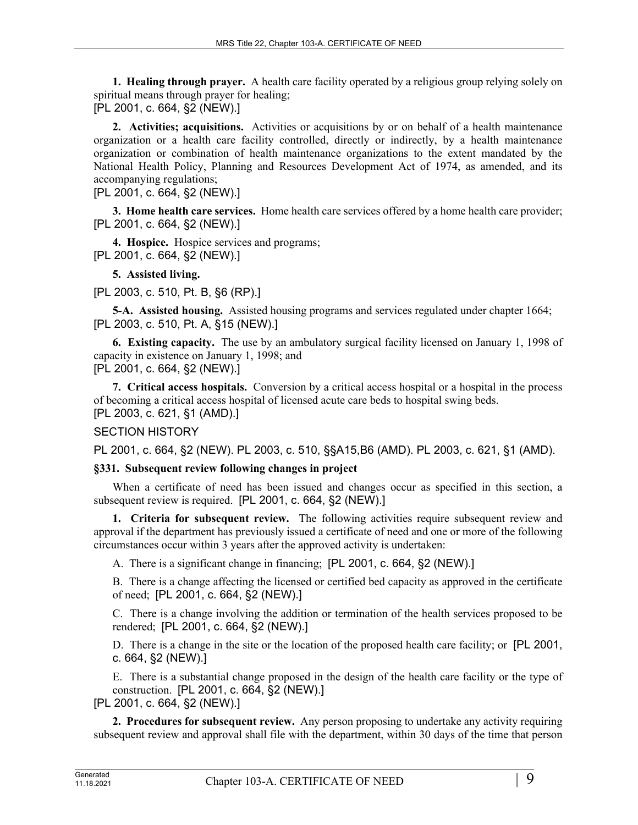**1. Healing through prayer.** A health care facility operated by a religious group relying solely on spiritual means through prayer for healing; [PL 2001, c. 664, §2 (NEW).]

**2. Activities; acquisitions.** Activities or acquisitions by or on behalf of a health maintenance organization or a health care facility controlled, directly or indirectly, by a health maintenance organization or combination of health maintenance organizations to the extent mandated by the National Health Policy, Planning and Resources Development Act of 1974, as amended, and its

accompanying regulations; [PL 2001, c. 664, §2 (NEW).]

**3. Home health care services.** Home health care services offered by a home health care provider; [PL 2001, c. 664, §2 (NEW).]

**4. Hospice.** Hospice services and programs; [PL 2001, c. 664, §2 (NEW).]

**5. Assisted living.** 

[PL 2003, c. 510, Pt. B, §6 (RP).]

**5-A. Assisted housing.** Assisted housing programs and services regulated under chapter 1664; [PL 2003, c. 510, Pt. A, §15 (NEW).]

**6. Existing capacity.** The use by an ambulatory surgical facility licensed on January 1, 1998 of capacity in existence on January 1, 1998; and

[PL 2001, c. 664, §2 (NEW).]

**7. Critical access hospitals.** Conversion by a critical access hospital or a hospital in the process of becoming a critical access hospital of licensed acute care beds to hospital swing beds. [PL 2003, c. 621, §1 (AMD).]

### SECTION HISTORY

PL 2001, c. 664, §2 (NEW). PL 2003, c. 510, §§A15,B6 (AMD). PL 2003, c. 621, §1 (AMD).

# **§331. Subsequent review following changes in project**

When a certificate of need has been issued and changes occur as specified in this section, a subsequent review is required. [PL 2001, c. 664, §2 (NEW).]

**1. Criteria for subsequent review.** The following activities require subsequent review and approval if the department has previously issued a certificate of need and one or more of the following circumstances occur within 3 years after the approved activity is undertaken:

A. There is a significant change in financing; [PL 2001, c. 664, §2 (NEW).]

B. There is a change affecting the licensed or certified bed capacity as approved in the certificate of need; [PL 2001, c. 664, §2 (NEW).]

C. There is a change involving the addition or termination of the health services proposed to be rendered; [PL 2001, c. 664, §2 (NEW).]

D. There is a change in the site or the location of the proposed health care facility; or [PL 2001, c. 664, §2 (NEW).]

E. There is a substantial change proposed in the design of the health care facility or the type of construction. [PL 2001, c. 664, §2 (NEW).]

[PL 2001, c. 664, §2 (NEW).]

**2. Procedures for subsequent review.** Any person proposing to undertake any activity requiring subsequent review and approval shall file with the department, within 30 days of the time that person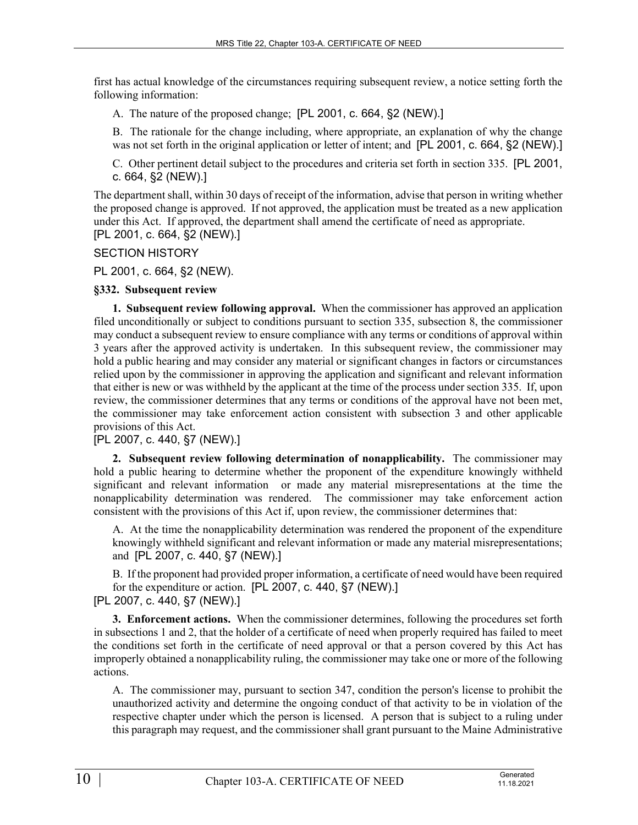first has actual knowledge of the circumstances requiring subsequent review, a notice setting forth the following information:

A. The nature of the proposed change; [PL 2001, c. 664, §2 (NEW).]

B. The rationale for the change including, where appropriate, an explanation of why the change was not set forth in the original application or letter of intent; and [PL 2001, c. 664, §2 (NEW).]

C. Other pertinent detail subject to the procedures and criteria set forth in section 335. [PL 2001, c. 664, §2 (NEW).]

The department shall, within 30 days of receipt of the information, advise that person in writing whether the proposed change is approved. If not approved, the application must be treated as a new application under this Act. If approved, the department shall amend the certificate of need as appropriate. [PL 2001, c. 664, §2 (NEW).]

SECTION HISTORY

PL 2001, c. 664, §2 (NEW).

## **§332. Subsequent review**

**1. Subsequent review following approval.** When the commissioner has approved an application filed unconditionally or subject to conditions pursuant to section 335, subsection 8, the commissioner may conduct a subsequent review to ensure compliance with any terms or conditions of approval within 3 years after the approved activity is undertaken. In this subsequent review, the commissioner may hold a public hearing and may consider any material or significant changes in factors or circumstances relied upon by the commissioner in approving the application and significant and relevant information that either is new or was withheld by the applicant at the time of the process under section 335. If, upon review, the commissioner determines that any terms or conditions of the approval have not been met, the commissioner may take enforcement action consistent with subsection 3 and other applicable provisions of this Act.

[PL 2007, c. 440, §7 (NEW).]

**2. Subsequent review following determination of nonapplicability.** The commissioner may hold a public hearing to determine whether the proponent of the expenditure knowingly withheld significant and relevant information or made any material misrepresentations at the time the nonapplicability determination was rendered. The commissioner may take enforcement action consistent with the provisions of this Act if, upon review, the commissioner determines that:

A. At the time the nonapplicability determination was rendered the proponent of the expenditure knowingly withheld significant and relevant information or made any material misrepresentations; and [PL 2007, c. 440, §7 (NEW).]

B. If the proponent had provided proper information, a certificate of need would have been required for the expenditure or action. [PL 2007, c. 440, §7 (NEW).] [PL 2007, c. 440, §7 (NEW).]

**3. Enforcement actions.** When the commissioner determines, following the procedures set forth in subsections 1 and 2, that the holder of a certificate of need when properly required has failed to meet the conditions set forth in the certificate of need approval or that a person covered by this Act has improperly obtained a nonapplicability ruling, the commissioner may take one or more of the following actions.

A. The commissioner may, pursuant to section 347, condition the person's license to prohibit the unauthorized activity and determine the ongoing conduct of that activity to be in violation of the respective chapter under which the person is licensed. A person that is subject to a ruling under this paragraph may request, and the commissioner shall grant pursuant to the Maine Administrative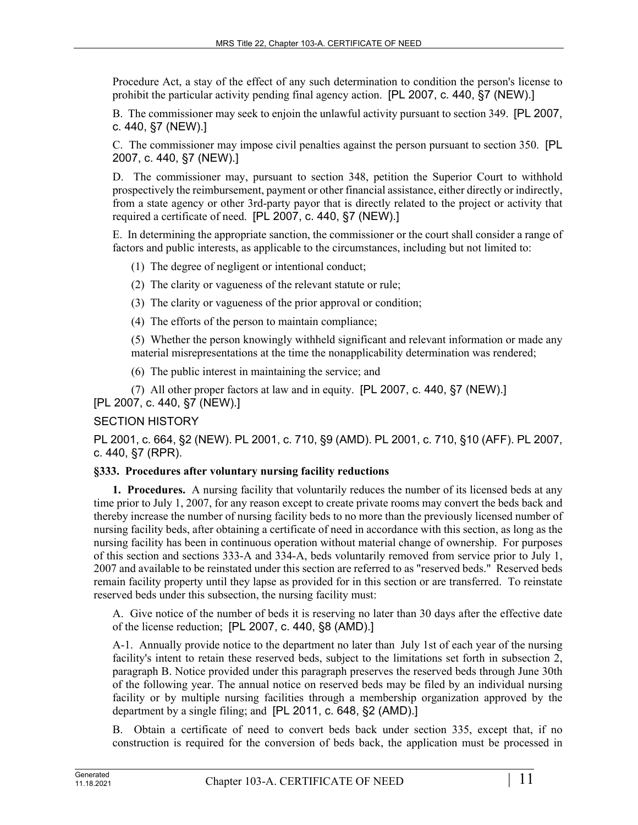Procedure Act, a stay of the effect of any such determination to condition the person's license to prohibit the particular activity pending final agency action. [PL 2007, c. 440, §7 (NEW).]

B. The commissioner may seek to enjoin the unlawful activity pursuant to section 349. [PL 2007, c. 440, §7 (NEW).]

C. The commissioner may impose civil penalties against the person pursuant to section 350. [PL 2007, c. 440, §7 (NEW).]

D. The commissioner may, pursuant to section 348, petition the Superior Court to withhold prospectively the reimbursement, payment or other financial assistance, either directly or indirectly, from a state agency or other 3rd-party payor that is directly related to the project or activity that required a certificate of need. [PL 2007, c. 440, §7 (NEW).]

E. In determining the appropriate sanction, the commissioner or the court shall consider a range of factors and public interests, as applicable to the circumstances, including but not limited to:

- (1) The degree of negligent or intentional conduct;
- (2) The clarity or vagueness of the relevant statute or rule;
- (3) The clarity or vagueness of the prior approval or condition;
- (4) The efforts of the person to maintain compliance;

(5) Whether the person knowingly withheld significant and relevant information or made any material misrepresentations at the time the nonapplicability determination was rendered;

(6) The public interest in maintaining the service; and

(7) All other proper factors at law and in equity. [PL 2007, c. 440, §7 (NEW).] [PL 2007, c. 440, §7 (NEW).]

# SECTION HISTORY

PL 2001, c. 664, §2 (NEW). PL 2001, c. 710, §9 (AMD). PL 2001, c. 710, §10 (AFF). PL 2007, c. 440, §7 (RPR).

### **§333. Procedures after voluntary nursing facility reductions**

**1. Procedures.** A nursing facility that voluntarily reduces the number of its licensed beds at any time prior to July 1, 2007, for any reason except to create private rooms may convert the beds back and thereby increase the number of nursing facility beds to no more than the previously licensed number of nursing facility beds, after obtaining a certificate of need in accordance with this section, as long as the nursing facility has been in continuous operation without material change of ownership. For purposes of this section and sections 333-A and 334-A, beds voluntarily removed from service prior to July 1, 2007 and available to be reinstated under this section are referred to as "reserved beds." Reserved beds remain facility property until they lapse as provided for in this section or are transferred. To reinstate reserved beds under this subsection, the nursing facility must:

A. Give notice of the number of beds it is reserving no later than 30 days after the effective date of the license reduction; [PL 2007, c. 440, §8 (AMD).]

A-1. Annually provide notice to the department no later than July 1st of each year of the nursing facility's intent to retain these reserved beds, subject to the limitations set forth in subsection 2, paragraph B. Notice provided under this paragraph preserves the reserved beds through June 30th of the following year. The annual notice on reserved beds may be filed by an individual nursing facility or by multiple nursing facilities through a membership organization approved by the department by a single filing; and [PL 2011, c. 648, §2 (AMD).]

B. Obtain a certificate of need to convert beds back under section 335, except that, if no construction is required for the conversion of beds back, the application must be processed in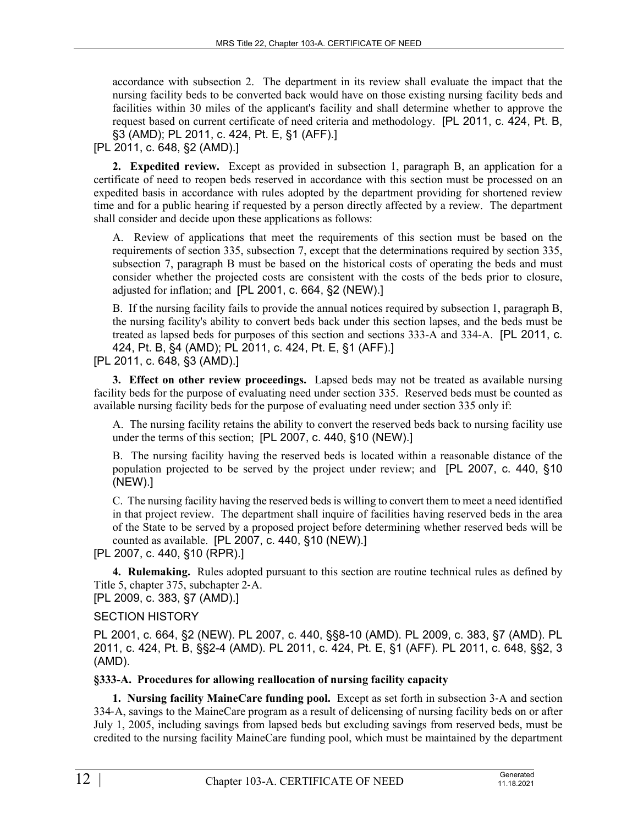accordance with subsection 2. The department in its review shall evaluate the impact that the nursing facility beds to be converted back would have on those existing nursing facility beds and facilities within 30 miles of the applicant's facility and shall determine whether to approve the request based on current certificate of need criteria and methodology. [PL 2011, c. 424, Pt. B, §3 (AMD); PL 2011, c. 424, Pt. E, §1 (AFF).]

[PL 2011, c. 648, §2 (AMD).]

**2. Expedited review.** Except as provided in subsection 1, paragraph B, an application for a certificate of need to reopen beds reserved in accordance with this section must be processed on an expedited basis in accordance with rules adopted by the department providing for shortened review time and for a public hearing if requested by a person directly affected by a review. The department shall consider and decide upon these applications as follows:

A. Review of applications that meet the requirements of this section must be based on the requirements of section 335, subsection 7, except that the determinations required by section 335, subsection 7, paragraph B must be based on the historical costs of operating the beds and must consider whether the projected costs are consistent with the costs of the beds prior to closure, adjusted for inflation; and [PL 2001, c. 664, §2 (NEW).]

B. If the nursing facility fails to provide the annual notices required by subsection 1, paragraph B, the nursing facility's ability to convert beds back under this section lapses, and the beds must be treated as lapsed beds for purposes of this section and sections 333-A and 334-A. [PL 2011, c. 424, Pt. B, §4 (AMD); PL 2011, c. 424, Pt. E, §1 (AFF).]

[PL 2011, c. 648, §3 (AMD).]

**3. Effect on other review proceedings.** Lapsed beds may not be treated as available nursing facility beds for the purpose of evaluating need under section 335. Reserved beds must be counted as available nursing facility beds for the purpose of evaluating need under section 335 only if:

A. The nursing facility retains the ability to convert the reserved beds back to nursing facility use under the terms of this section; [PL 2007, c. 440, §10 (NEW).]

B. The nursing facility having the reserved beds is located within a reasonable distance of the population projected to be served by the project under review; and [PL 2007, c. 440, §10 (NEW).]

C. The nursing facility having the reserved beds is willing to convert them to meet a need identified in that project review. The department shall inquire of facilities having reserved beds in the area of the State to be served by a proposed project before determining whether reserved beds will be counted as available. [PL 2007, c. 440, §10 (NEW).]

[PL 2007, c. 440, §10 (RPR).]

**4. Rulemaking.** Rules adopted pursuant to this section are routine technical rules as defined by Title 5, chapter 375, subchapter 2‑A.

[PL 2009, c. 383, §7 (AMD).]

SECTION HISTORY

PL 2001, c. 664, §2 (NEW). PL 2007, c. 440, §§8-10 (AMD). PL 2009, c. 383, §7 (AMD). PL 2011, c. 424, Pt. B, §§2-4 (AMD). PL 2011, c. 424, Pt. E, §1 (AFF). PL 2011, c. 648, §§2, 3 (AMD).

# **§333-A. Procedures for allowing reallocation of nursing facility capacity**

**1. Nursing facility MaineCare funding pool.** Except as set forth in subsection 3‑A and section 334‑A, savings to the MaineCare program as a result of delicensing of nursing facility beds on or after July 1, 2005, including savings from lapsed beds but excluding savings from reserved beds, must be credited to the nursing facility MaineCare funding pool, which must be maintained by the department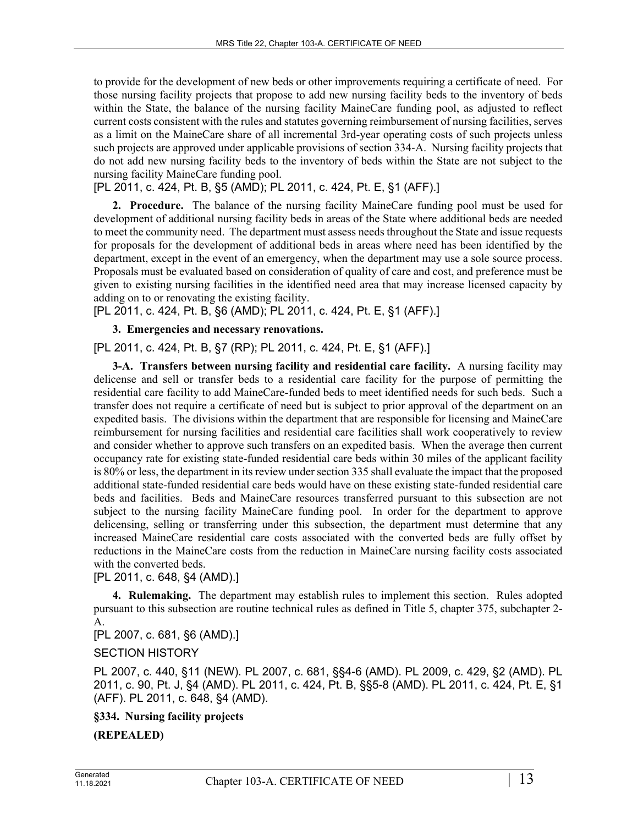to provide for the development of new beds or other improvements requiring a certificate of need. For those nursing facility projects that propose to add new nursing facility beds to the inventory of beds within the State, the balance of the nursing facility MaineCare funding pool, as adjusted to reflect current costs consistent with the rules and statutes governing reimbursement of nursing facilities, serves as a limit on the MaineCare share of all incremental 3rd-year operating costs of such projects unless such projects are approved under applicable provisions of section 334‑A. Nursing facility projects that do not add new nursing facility beds to the inventory of beds within the State are not subject to the nursing facility MaineCare funding pool.

[PL 2011, c. 424, Pt. B, §5 (AMD); PL 2011, c. 424, Pt. E, §1 (AFF).]

**2. Procedure.** The balance of the nursing facility MaineCare funding pool must be used for development of additional nursing facility beds in areas of the State where additional beds are needed to meet the community need. The department must assess needs throughout the State and issue requests for proposals for the development of additional beds in areas where need has been identified by the department, except in the event of an emergency, when the department may use a sole source process. Proposals must be evaluated based on consideration of quality of care and cost, and preference must be given to existing nursing facilities in the identified need area that may increase licensed capacity by adding on to or renovating the existing facility.

[PL 2011, c. 424, Pt. B, §6 (AMD); PL 2011, c. 424, Pt. E, §1 (AFF).]

**3. Emergencies and necessary renovations.** 

[PL 2011, c. 424, Pt. B, §7 (RP); PL 2011, c. 424, Pt. E, §1 (AFF).]

**3-A. Transfers between nursing facility and residential care facility.** A nursing facility may delicense and sell or transfer beds to a residential care facility for the purpose of permitting the residential care facility to add MaineCare-funded beds to meet identified needs for such beds. Such a transfer does not require a certificate of need but is subject to prior approval of the department on an expedited basis. The divisions within the department that are responsible for licensing and MaineCare reimbursement for nursing facilities and residential care facilities shall work cooperatively to review and consider whether to approve such transfers on an expedited basis. When the average then current occupancy rate for existing state-funded residential care beds within 30 miles of the applicant facility is 80% or less, the department in its review under section 335 shall evaluate the impact that the proposed additional state-funded residential care beds would have on these existing state-funded residential care beds and facilities. Beds and MaineCare resources transferred pursuant to this subsection are not subject to the nursing facility MaineCare funding pool. In order for the department to approve delicensing, selling or transferring under this subsection, the department must determine that any increased MaineCare residential care costs associated with the converted beds are fully offset by reductions in the MaineCare costs from the reduction in MaineCare nursing facility costs associated with the converted beds.

[PL 2011, c. 648, §4 (AMD).]

**4. Rulemaking.** The department may establish rules to implement this section. Rules adopted pursuant to this subsection are routine technical rules as defined in Title 5, chapter 375, subchapter 2- A.

[PL 2007, c. 681, §6 (AMD).]

# SECTION HISTORY

PL 2007, c. 440, §11 (NEW). PL 2007, c. 681, §§4-6 (AMD). PL 2009, c. 429, §2 (AMD). PL 2011, c. 90, Pt. J, §4 (AMD). PL 2011, c. 424, Pt. B, §§5-8 (AMD). PL 2011, c. 424, Pt. E, §1 (AFF). PL 2011, c. 648, §4 (AMD).

**§334. Nursing facility projects (REPEALED)**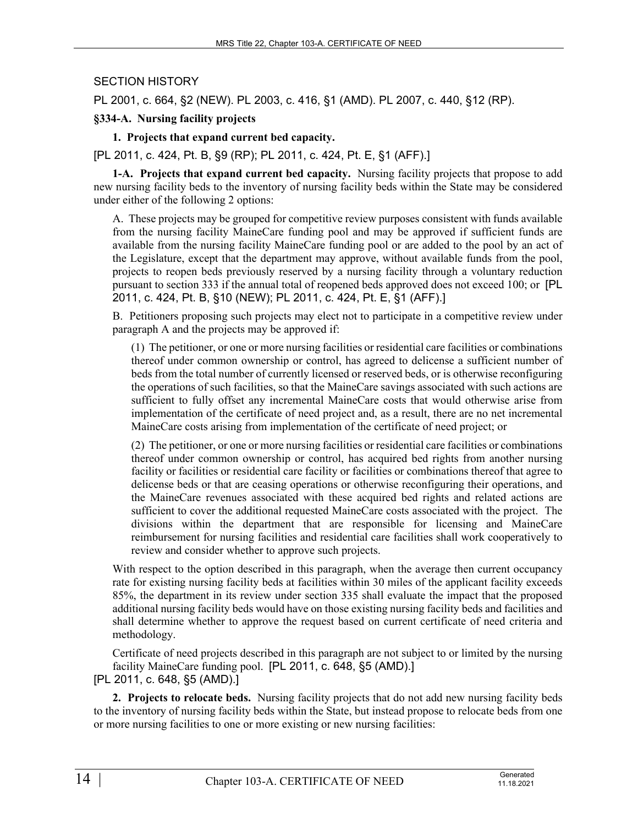# SECTION HISTORY

PL 2001, c. 664, §2 (NEW). PL 2003, c. 416, §1 (AMD). PL 2007, c. 440, §12 (RP).

### **§334-A. Nursing facility projects**

## **1. Projects that expand current bed capacity.**

[PL 2011, c. 424, Pt. B, §9 (RP); PL 2011, c. 424, Pt. E, §1 (AFF).]

**1-A. Projects that expand current bed capacity.** Nursing facility projects that propose to add new nursing facility beds to the inventory of nursing facility beds within the State may be considered under either of the following 2 options:

A. These projects may be grouped for competitive review purposes consistent with funds available from the nursing facility MaineCare funding pool and may be approved if sufficient funds are available from the nursing facility MaineCare funding pool or are added to the pool by an act of the Legislature, except that the department may approve, without available funds from the pool, projects to reopen beds previously reserved by a nursing facility through a voluntary reduction pursuant to section 333 if the annual total of reopened beds approved does not exceed 100; or [PL 2011, c. 424, Pt. B, §10 (NEW); PL 2011, c. 424, Pt. E, §1 (AFF).]

B. Petitioners proposing such projects may elect not to participate in a competitive review under paragraph A and the projects may be approved if:

(1) The petitioner, or one or more nursing facilities or residential care facilities or combinations thereof under common ownership or control, has agreed to delicense a sufficient number of beds from the total number of currently licensed or reserved beds, or is otherwise reconfiguring the operations of such facilities, so that the MaineCare savings associated with such actions are sufficient to fully offset any incremental MaineCare costs that would otherwise arise from implementation of the certificate of need project and, as a result, there are no net incremental MaineCare costs arising from implementation of the certificate of need project; or

(2) The petitioner, or one or more nursing facilities or residential care facilities or combinations thereof under common ownership or control, has acquired bed rights from another nursing facility or facilities or residential care facility or facilities or combinations thereof that agree to delicense beds or that are ceasing operations or otherwise reconfiguring their operations, and the MaineCare revenues associated with these acquired bed rights and related actions are sufficient to cover the additional requested MaineCare costs associated with the project. The divisions within the department that are responsible for licensing and MaineCare reimbursement for nursing facilities and residential care facilities shall work cooperatively to review and consider whether to approve such projects.

With respect to the option described in this paragraph, when the average then current occupancy rate for existing nursing facility beds at facilities within 30 miles of the applicant facility exceeds 85%, the department in its review under section 335 shall evaluate the impact that the proposed additional nursing facility beds would have on those existing nursing facility beds and facilities and shall determine whether to approve the request based on current certificate of need criteria and methodology.

Certificate of need projects described in this paragraph are not subject to or limited by the nursing facility MaineCare funding pool. [PL 2011, c. 648, §5 (AMD).]

[PL 2011, c. 648, §5 (AMD).]

**2. Projects to relocate beds.** Nursing facility projects that do not add new nursing facility beds to the inventory of nursing facility beds within the State, but instead propose to relocate beds from one or more nursing facilities to one or more existing or new nursing facilities: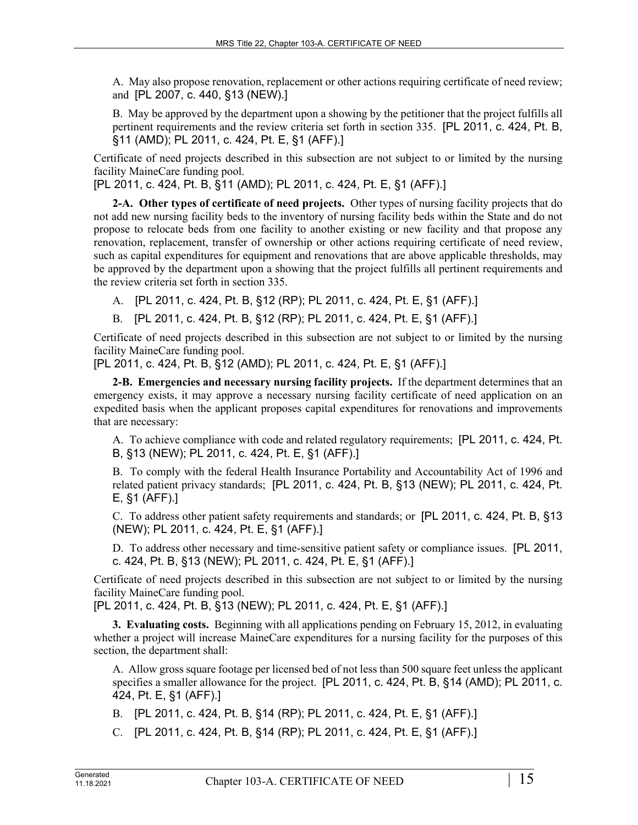A. May also propose renovation, replacement or other actions requiring certificate of need review; and [PL 2007, c. 440, §13 (NEW).]

B. May be approved by the department upon a showing by the petitioner that the project fulfills all pertinent requirements and the review criteria set forth in section 335. [PL 2011, c. 424, Pt. B, §11 (AMD); PL 2011, c. 424, Pt. E, §1 (AFF).]

Certificate of need projects described in this subsection are not subject to or limited by the nursing facility MaineCare funding pool.

[PL 2011, c. 424, Pt. B, §11 (AMD); PL 2011, c. 424, Pt. E, §1 (AFF).]

**2-A. Other types of certificate of need projects.** Other types of nursing facility projects that do not add new nursing facility beds to the inventory of nursing facility beds within the State and do not propose to relocate beds from one facility to another existing or new facility and that propose any renovation, replacement, transfer of ownership or other actions requiring certificate of need review, such as capital expenditures for equipment and renovations that are above applicable thresholds, may be approved by the department upon a showing that the project fulfills all pertinent requirements and the review criteria set forth in section 335.

- A. [PL 2011, c. 424, Pt. B, §12 (RP); PL 2011, c. 424, Pt. E, §1 (AFF).]
- B. [PL 2011, c. 424, Pt. B, §12 (RP); PL 2011, c. 424, Pt. E, §1 (AFF).]

Certificate of need projects described in this subsection are not subject to or limited by the nursing facility MaineCare funding pool.

[PL 2011, c. 424, Pt. B, §12 (AMD); PL 2011, c. 424, Pt. E, §1 (AFF).]

**2-B. Emergencies and necessary nursing facility projects.** If the department determines that an emergency exists, it may approve a necessary nursing facility certificate of need application on an expedited basis when the applicant proposes capital expenditures for renovations and improvements that are necessary:

A. To achieve compliance with code and related regulatory requirements; [PL 2011, c. 424, Pt. B, §13 (NEW); PL 2011, c. 424, Pt. E, §1 (AFF).]

B. To comply with the federal Health Insurance Portability and Accountability Act of 1996 and related patient privacy standards; [PL 2011, c. 424, Pt. B, §13 (NEW); PL 2011, c. 424, Pt. E, §1 (AFF).]

C. To address other patient safety requirements and standards; or [PL 2011, c. 424, Pt. B, §13 (NEW); PL 2011, c. 424, Pt. E, §1 (AFF).]

D. To address other necessary and time-sensitive patient safety or compliance issues. [PL 2011, c. 424, Pt. B, §13 (NEW); PL 2011, c. 424, Pt. E, §1 (AFF).]

Certificate of need projects described in this subsection are not subject to or limited by the nursing facility MaineCare funding pool.

[PL 2011, c. 424, Pt. B, §13 (NEW); PL 2011, c. 424, Pt. E, §1 (AFF).]

**3. Evaluating costs.** Beginning with all applications pending on February 15, 2012, in evaluating whether a project will increase MaineCare expenditures for a nursing facility for the purposes of this section, the department shall:

A. Allow gross square footage per licensed bed of not less than 500 square feet unless the applicant specifies a smaller allowance for the project. [PL 2011, c. 424, Pt. B, §14 (AMD); PL 2011, c. 424, Pt. E, §1 (AFF).]

B. [PL 2011, c. 424, Pt. B, §14 (RP); PL 2011, c. 424, Pt. E, §1 (AFF).]

C. [PL 2011, c. 424, Pt. B, §14 (RP); PL 2011, c. 424, Pt. E, §1 (AFF).]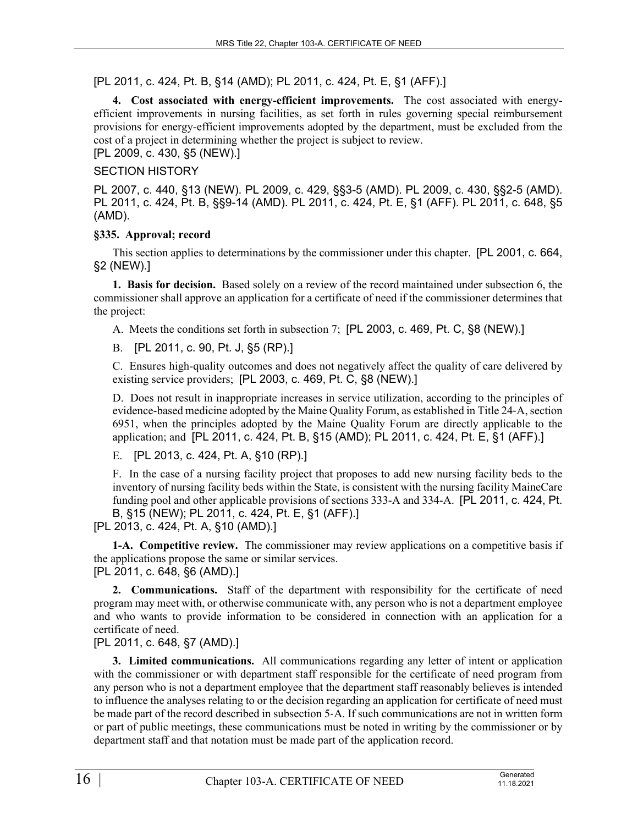# [PL 2011, c. 424, Pt. B, §14 (AMD); PL 2011, c. 424, Pt. E, §1 (AFF).]

**4. Cost associated with energy-efficient improvements.** The cost associated with energyefficient improvements in nursing facilities, as set forth in rules governing special reimbursement provisions for energy-efficient improvements adopted by the department, must be excluded from the cost of a project in determining whether the project is subject to review.

[PL 2009, c. 430, §5 (NEW).]

# SECTION HISTORY

PL 2007, c. 440, §13 (NEW). PL 2009, c. 429, §§3-5 (AMD). PL 2009, c. 430, §§2-5 (AMD). PL 2011, c. 424, Pt. B, §§9-14 (AMD). PL 2011, c. 424, Pt. E, §1 (AFF). PL 2011, c. 648, §5 (AMD).

## **§335. Approval; record**

This section applies to determinations by the commissioner under this chapter. [PL 2001, c. 664, §2 (NEW).]

**1. Basis for decision.** Based solely on a review of the record maintained under subsection 6, the commissioner shall approve an application for a certificate of need if the commissioner determines that the project:

A. Meets the conditions set forth in subsection 7; [PL 2003, c. 469, Pt. C, §8 (NEW).]

B. [PL 2011, c. 90, Pt. J, §5 (RP).]

C. Ensures high-quality outcomes and does not negatively affect the quality of care delivered by existing service providers; [PL 2003, c. 469, Pt. C, §8 (NEW).]

D. Does not result in inappropriate increases in service utilization, according to the principles of evidence-based medicine adopted by the Maine Quality Forum, as established in Title 24‑A, section 6951, when the principles adopted by the Maine Quality Forum are directly applicable to the application; and [PL 2011, c. 424, Pt. B, §15 (AMD); PL 2011, c. 424, Pt. E, §1 (AFF).]

E. [PL 2013, c. 424, Pt. A, §10 (RP).]

F. In the case of a nursing facility project that proposes to add new nursing facility beds to the inventory of nursing facility beds within the State, is consistent with the nursing facility MaineCare funding pool and other applicable provisions of sections 333-A and 334-A. [PL 2011, c. 424, Pt. B, §15 (NEW); PL 2011, c. 424, Pt. E, §1 (AFF).]

[PL 2013, c. 424, Pt. A, §10 (AMD).]

**1-A. Competitive review.** The commissioner may review applications on a competitive basis if the applications propose the same or similar services. [PL 2011, c. 648, §6 (AMD).]

**2. Communications.** Staff of the department with responsibility for the certificate of need program may meet with, or otherwise communicate with, any person who is not a department employee and who wants to provide information to be considered in connection with an application for a certificate of need.

[PL 2011, c. 648, §7 (AMD).]

**3. Limited communications.** All communications regarding any letter of intent or application with the commissioner or with department staff responsible for the certificate of need program from any person who is not a department employee that the department staff reasonably believes is intended to influence the analyses relating to or the decision regarding an application for certificate of need must be made part of the record described in subsection 5‑A. If such communications are not in written form or part of public meetings, these communications must be noted in writing by the commissioner or by department staff and that notation must be made part of the application record.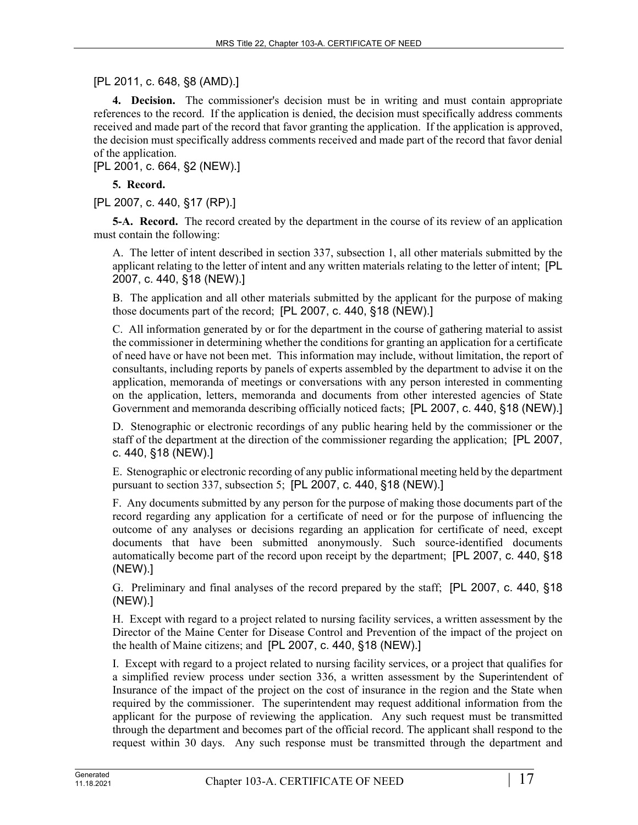# [PL 2011, c. 648, §8 (AMD).]

**4. Decision.** The commissioner's decision must be in writing and must contain appropriate references to the record. If the application is denied, the decision must specifically address comments received and made part of the record that favor granting the application. If the application is approved, the decision must specifically address comments received and made part of the record that favor denial of the application.

[PL 2001, c. 664, §2 (NEW).]

## **5. Record.**

[PL 2007, c. 440, §17 (RP).]

**5-A. Record.** The record created by the department in the course of its review of an application must contain the following:

A. The letter of intent described in section 337, subsection 1, all other materials submitted by the applicant relating to the letter of intent and any written materials relating to the letter of intent; [PL 2007, c. 440, §18 (NEW).]

B. The application and all other materials submitted by the applicant for the purpose of making those documents part of the record; [PL 2007, c. 440, §18 (NEW).]

C. All information generated by or for the department in the course of gathering material to assist the commissioner in determining whether the conditions for granting an application for a certificate of need have or have not been met. This information may include, without limitation, the report of consultants, including reports by panels of experts assembled by the department to advise it on the application, memoranda of meetings or conversations with any person interested in commenting on the application, letters, memoranda and documents from other interested agencies of State Government and memoranda describing officially noticed facts; [PL 2007, c. 440, §18 (NEW).]

D. Stenographic or electronic recordings of any public hearing held by the commissioner or the staff of the department at the direction of the commissioner regarding the application; [PL 2007, c. 440, §18 (NEW).]

E. Stenographic or electronic recording of any public informational meeting held by the department pursuant to section 337, subsection 5; [PL 2007, c. 440, §18 (NEW).]

F. Any documents submitted by any person for the purpose of making those documents part of the record regarding any application for a certificate of need or for the purpose of influencing the outcome of any analyses or decisions regarding an application for certificate of need, except documents that have been submitted anonymously. Such source-identified documents automatically become part of the record upon receipt by the department; [PL 2007, c. 440, §18 (NEW).]

G. Preliminary and final analyses of the record prepared by the staff; [PL 2007, c. 440, §18 (NEW).]

H. Except with regard to a project related to nursing facility services, a written assessment by the Director of the Maine Center for Disease Control and Prevention of the impact of the project on the health of Maine citizens; and [PL 2007, c. 440, §18 (NEW).]

I. Except with regard to a project related to nursing facility services, or a project that qualifies for a simplified review process under section 336, a written assessment by the Superintendent of Insurance of the impact of the project on the cost of insurance in the region and the State when required by the commissioner. The superintendent may request additional information from the applicant for the purpose of reviewing the application. Any such request must be transmitted through the department and becomes part of the official record. The applicant shall respond to the request within 30 days. Any such response must be transmitted through the department and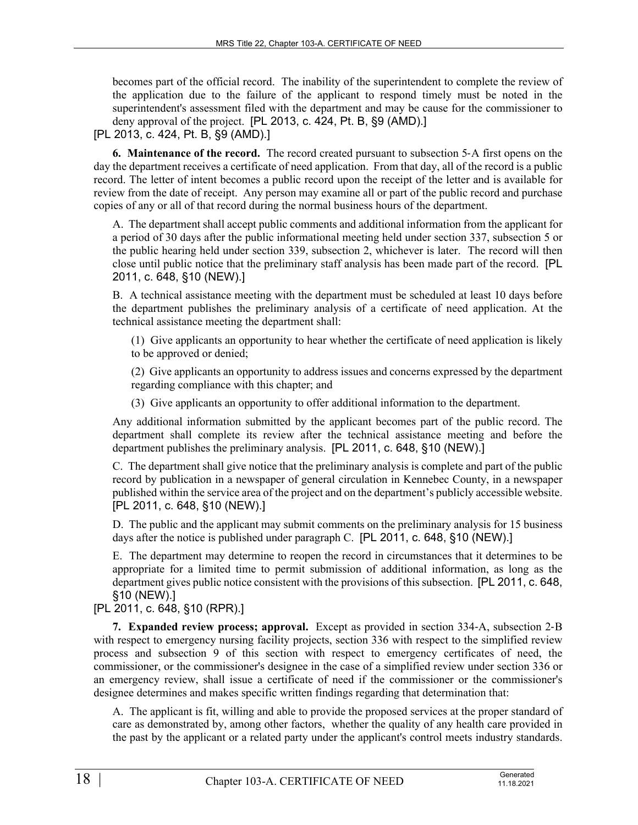becomes part of the official record. The inability of the superintendent to complete the review of the application due to the failure of the applicant to respond timely must be noted in the superintendent's assessment filed with the department and may be cause for the commissioner to deny approval of the project. [PL 2013, c. 424, Pt. B, §9 (AMD).1

# [PL 2013, c. 424, Pt. B, §9 (AMD).]

**6. Maintenance of the record.** The record created pursuant to subsection 5‑A first opens on the day the department receives a certificate of need application. From that day, all of the record is a public record. The letter of intent becomes a public record upon the receipt of the letter and is available for review from the date of receipt. Any person may examine all or part of the public record and purchase copies of any or all of that record during the normal business hours of the department.

A. The department shall accept public comments and additional information from the applicant for a period of 30 days after the public informational meeting held under section 337, subsection 5 or the public hearing held under section 339, subsection 2, whichever is later. The record will then close until public notice that the preliminary staff analysis has been made part of the record. [PL 2011, c. 648, §10 (NEW).]

B. A technical assistance meeting with the department must be scheduled at least 10 days before the department publishes the preliminary analysis of a certificate of need application. At the technical assistance meeting the department shall:

(1) Give applicants an opportunity to hear whether the certificate of need application is likely to be approved or denied;

(2) Give applicants an opportunity to address issues and concerns expressed by the department regarding compliance with this chapter; and

(3) Give applicants an opportunity to offer additional information to the department.

Any additional information submitted by the applicant becomes part of the public record. The department shall complete its review after the technical assistance meeting and before the department publishes the preliminary analysis. [PL 2011, c. 648, §10 (NEW).]

C. The department shall give notice that the preliminary analysis is complete and part of the public record by publication in a newspaper of general circulation in Kennebec County, in a newspaper published within the service area of the project and on the department's publicly accessible website. [PL 2011, c. 648, §10 (NEW).]

D. The public and the applicant may submit comments on the preliminary analysis for 15 business days after the notice is published under paragraph C. [PL 2011, c. 648, §10 (NEW).]

E. The department may determine to reopen the record in circumstances that it determines to be appropriate for a limited time to permit submission of additional information, as long as the department gives public notice consistent with the provisions of this subsection. [PL 2011, c. 648, §10 (NEW).]

[PL 2011, c. 648, §10 (RPR).]

**7. Expanded review process; approval.** Except as provided in section 334‑A, subsection 2‑B with respect to emergency nursing facility projects, section 336 with respect to the simplified review process and subsection 9 of this section with respect to emergency certificates of need, the commissioner, or the commissioner's designee in the case of a simplified review under section 336 or an emergency review, shall issue a certificate of need if the commissioner or the commissioner's designee determines and makes specific written findings regarding that determination that:

A. The applicant is fit, willing and able to provide the proposed services at the proper standard of care as demonstrated by, among other factors, whether the quality of any health care provided in the past by the applicant or a related party under the applicant's control meets industry standards.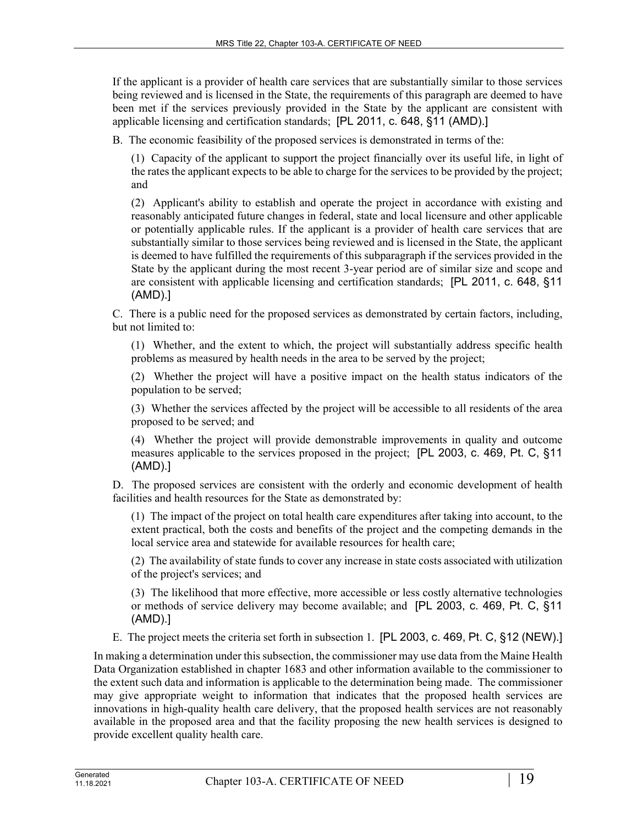If the applicant is a provider of health care services that are substantially similar to those services being reviewed and is licensed in the State, the requirements of this paragraph are deemed to have been met if the services previously provided in the State by the applicant are consistent with applicable licensing and certification standards; [PL 2011, c. 648, §11 (AMD).]

B. The economic feasibility of the proposed services is demonstrated in terms of the:

(1) Capacity of the applicant to support the project financially over its useful life, in light of the rates the applicant expects to be able to charge for the services to be provided by the project; and

(2) Applicant's ability to establish and operate the project in accordance with existing and reasonably anticipated future changes in federal, state and local licensure and other applicable or potentially applicable rules. If the applicant is a provider of health care services that are substantially similar to those services being reviewed and is licensed in the State, the applicant is deemed to have fulfilled the requirements of this subparagraph if the services provided in the State by the applicant during the most recent 3-year period are of similar size and scope and are consistent with applicable licensing and certification standards; [PL 2011, c. 648, §11 (AMD).]

C. There is a public need for the proposed services as demonstrated by certain factors, including, but not limited to:

(1) Whether, and the extent to which, the project will substantially address specific health problems as measured by health needs in the area to be served by the project;

(2) Whether the project will have a positive impact on the health status indicators of the population to be served;

(3) Whether the services affected by the project will be accessible to all residents of the area proposed to be served; and

(4) Whether the project will provide demonstrable improvements in quality and outcome measures applicable to the services proposed in the project; [PL 2003, c. 469, Pt. C, §11 (AMD).]

D. The proposed services are consistent with the orderly and economic development of health facilities and health resources for the State as demonstrated by:

(1) The impact of the project on total health care expenditures after taking into account, to the extent practical, both the costs and benefits of the project and the competing demands in the local service area and statewide for available resources for health care;

(2) The availability of state funds to cover any increase in state costs associated with utilization of the project's services; and

(3) The likelihood that more effective, more accessible or less costly alternative technologies or methods of service delivery may become available; and [PL 2003, c. 469, Pt. C, §11 (AMD).]

E. The project meets the criteria set forth in subsection 1. [PL 2003, c. 469, Pt. C, §12 (NEW).]

In making a determination under this subsection, the commissioner may use data from the Maine Health Data Organization established in chapter 1683 and other information available to the commissioner to the extent such data and information is applicable to the determination being made. The commissioner may give appropriate weight to information that indicates that the proposed health services are innovations in high-quality health care delivery, that the proposed health services are not reasonably available in the proposed area and that the facility proposing the new health services is designed to provide excellent quality health care.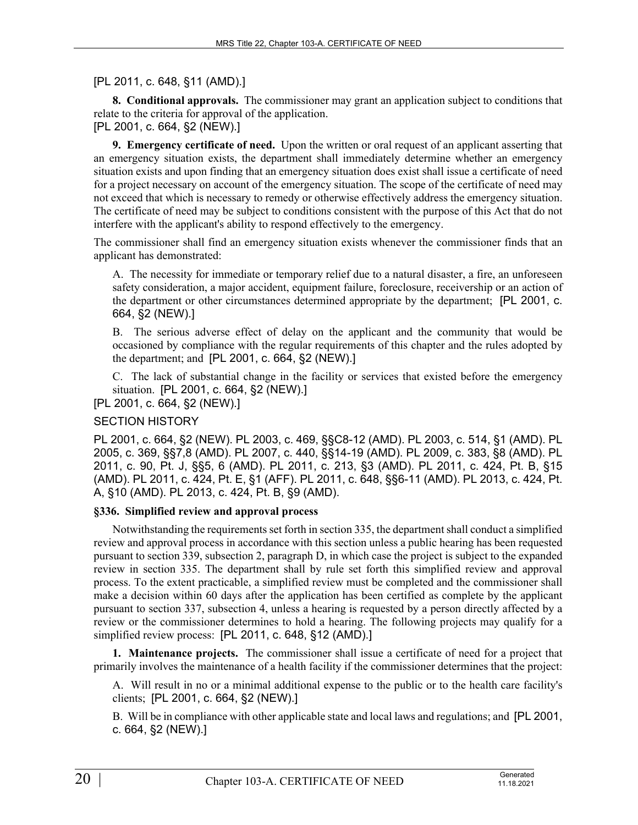[PL 2011, c. 648, §11 (AMD).]

**8. Conditional approvals.** The commissioner may grant an application subject to conditions that relate to the criteria for approval of the application.

[PL 2001, c. 664, §2 (NEW).]

**9. Emergency certificate of need.** Upon the written or oral request of an applicant asserting that an emergency situation exists, the department shall immediately determine whether an emergency situation exists and upon finding that an emergency situation does exist shall issue a certificate of need for a project necessary on account of the emergency situation. The scope of the certificate of need may not exceed that which is necessary to remedy or otherwise effectively address the emergency situation. The certificate of need may be subject to conditions consistent with the purpose of this Act that do not interfere with the applicant's ability to respond effectively to the emergency.

The commissioner shall find an emergency situation exists whenever the commissioner finds that an applicant has demonstrated:

A. The necessity for immediate or temporary relief due to a natural disaster, a fire, an unforeseen safety consideration, a major accident, equipment failure, foreclosure, receivership or an action of the department or other circumstances determined appropriate by the department; [PL 2001, c. 664, §2 (NEW).]

B. The serious adverse effect of delay on the applicant and the community that would be occasioned by compliance with the regular requirements of this chapter and the rules adopted by the department; and [PL 2001, c. 664, §2 (NEW).]

C. The lack of substantial change in the facility or services that existed before the emergency situation. [PL 2001, c. 664, §2 (NEW).]

[PL 2001, c. 664, §2 (NEW).]

# SECTION HISTORY

PL 2001, c. 664, §2 (NEW). PL 2003, c. 469, §§C8-12 (AMD). PL 2003, c. 514, §1 (AMD). PL 2005, c. 369, §§7,8 (AMD). PL 2007, c. 440, §§14-19 (AMD). PL 2009, c. 383, §8 (AMD). PL 2011, c. 90, Pt. J, §§5, 6 (AMD). PL 2011, c. 213, §3 (AMD). PL 2011, c. 424, Pt. B, §15 (AMD). PL 2011, c. 424, Pt. E, §1 (AFF). PL 2011, c. 648, §§6-11 (AMD). PL 2013, c. 424, Pt. A, §10 (AMD). PL 2013, c. 424, Pt. B, §9 (AMD).

# **§336. Simplified review and approval process**

Notwithstanding the requirements set forth in section 335, the department shall conduct a simplified review and approval process in accordance with this section unless a public hearing has been requested pursuant to section 339, subsection 2, paragraph D, in which case the project is subject to the expanded review in section 335. The department shall by rule set forth this simplified review and approval process. To the extent practicable, a simplified review must be completed and the commissioner shall make a decision within 60 days after the application has been certified as complete by the applicant pursuant to section 337, subsection 4, unless a hearing is requested by a person directly affected by a review or the commissioner determines to hold a hearing. The following projects may qualify for a simplified review process: [PL 2011, c. 648, §12 (AMD).]

**1. Maintenance projects.** The commissioner shall issue a certificate of need for a project that primarily involves the maintenance of a health facility if the commissioner determines that the project:

A. Will result in no or a minimal additional expense to the public or to the health care facility's clients; [PL 2001, c. 664, §2 (NEW).]

B. Will be in compliance with other applicable state and local laws and regulations; and [PL 2001, c. 664, §2 (NEW).]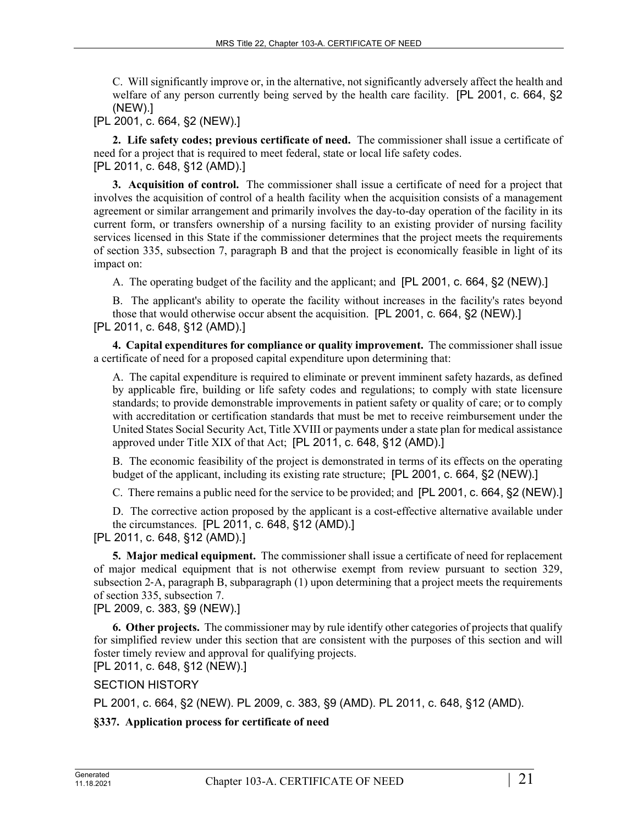C. Will significantly improve or, in the alternative, not significantly adversely affect the health and welfare of any person currently being served by the health care facility. [PL 2001, c. 664, §2 (NEW).]

[PL 2001, c. 664, §2 (NEW).]

**2. Life safety codes; previous certificate of need.** The commissioner shall issue a certificate of need for a project that is required to meet federal, state or local life safety codes. [PL 2011, c. 648, §12 (AMD).]

**3. Acquisition of control.** The commissioner shall issue a certificate of need for a project that involves the acquisition of control of a health facility when the acquisition consists of a management agreement or similar arrangement and primarily involves the day-to-day operation of the facility in its current form, or transfers ownership of a nursing facility to an existing provider of nursing facility services licensed in this State if the commissioner determines that the project meets the requirements of section 335, subsection 7, paragraph B and that the project is economically feasible in light of its impact on:

A. The operating budget of the facility and the applicant; and [PL 2001, c. 664, §2 (NEW).]

B. The applicant's ability to operate the facility without increases in the facility's rates beyond those that would otherwise occur absent the acquisition. [PL 2001, c. 664, §2 (NEW).] [PL 2011, c. 648, §12 (AMD).]

**4. Capital expenditures for compliance or quality improvement.** The commissioner shall issue a certificate of need for a proposed capital expenditure upon determining that:

A. The capital expenditure is required to eliminate or prevent imminent safety hazards, as defined by applicable fire, building or life safety codes and regulations; to comply with state licensure standards; to provide demonstrable improvements in patient safety or quality of care; or to comply with accreditation or certification standards that must be met to receive reimbursement under the United States Social Security Act, Title XVIII or payments under a state plan for medical assistance approved under Title XIX of that Act; [PL 2011, c. 648, §12 (AMD).]

B. The economic feasibility of the project is demonstrated in terms of its effects on the operating budget of the applicant, including its existing rate structure; [PL 2001, c. 664, §2 (NEW).]

C. There remains a public need for the service to be provided; and [PL 2001, c. 664, §2 (NEW).]

D. The corrective action proposed by the applicant is a cost-effective alternative available under the circumstances. [PL 2011, c. 648, §12 (AMD).]

[PL 2011, c. 648, §12 (AMD).]

**5. Major medical equipment.** The commissioner shall issue a certificate of need for replacement of major medical equipment that is not otherwise exempt from review pursuant to section 329, subsection 2‑A, paragraph B, subparagraph (1) upon determining that a project meets the requirements of section 335, subsection 7.

[PL 2009, c. 383, §9 (NEW).]

**6. Other projects.** The commissioner may by rule identify other categories of projects that qualify for simplified review under this section that are consistent with the purposes of this section and will foster timely review and approval for qualifying projects.

[PL 2011, c. 648, §12 (NEW).]

SECTION HISTORY

PL 2001, c. 664, §2 (NEW). PL 2009, c. 383, §9 (AMD). PL 2011, c. 648, §12 (AMD).

**§337. Application process for certificate of need**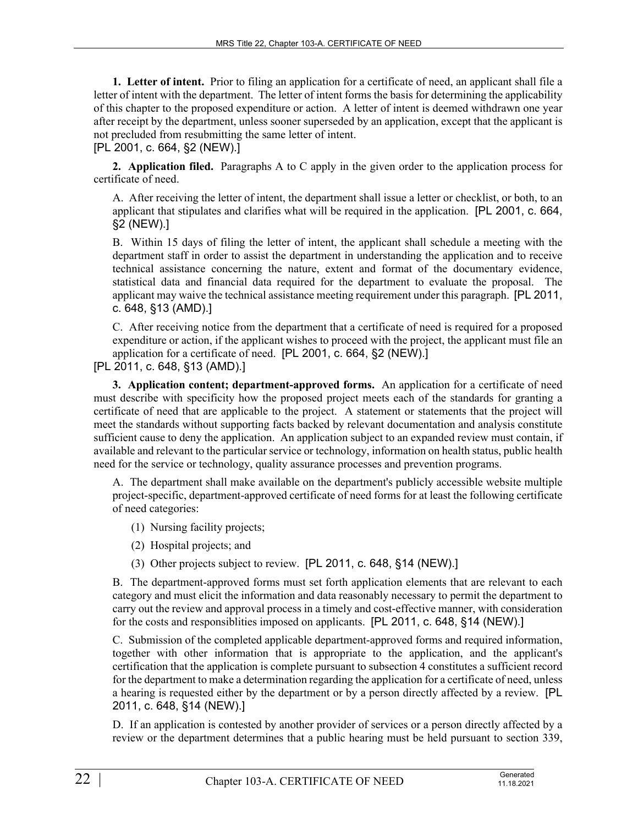**1. Letter of intent.** Prior to filing an application for a certificate of need, an applicant shall file a letter of intent with the department. The letter of intent forms the basis for determining the applicability of this chapter to the proposed expenditure or action. A letter of intent is deemed withdrawn one year after receipt by the department, unless sooner superseded by an application, except that the applicant is not precluded from resubmitting the same letter of intent. [PL 2001, c. 664, §2 (NEW).]

**2. Application filed.** Paragraphs A to C apply in the given order to the application process for certificate of need.

A. After receiving the letter of intent, the department shall issue a letter or checklist, or both, to an applicant that stipulates and clarifies what will be required in the application. [PL 2001, c. 664, §2 (NEW).]

B. Within 15 days of filing the letter of intent, the applicant shall schedule a meeting with the department staff in order to assist the department in understanding the application and to receive technical assistance concerning the nature, extent and format of the documentary evidence, statistical data and financial data required for the department to evaluate the proposal. The applicant may waive the technical assistance meeting requirement under this paragraph. [PL 2011, c. 648, §13 (AMD).]

C. After receiving notice from the department that a certificate of need is required for a proposed expenditure or action, if the applicant wishes to proceed with the project, the applicant must file an application for a certificate of need. [PL 2001, c. 664, §2 (NEW).]

[PL 2011, c. 648, §13 (AMD).]

**3. Application content; department-approved forms.** An application for a certificate of need must describe with specificity how the proposed project meets each of the standards for granting a certificate of need that are applicable to the project. A statement or statements that the project will meet the standards without supporting facts backed by relevant documentation and analysis constitute sufficient cause to deny the application. An application subject to an expanded review must contain, if available and relevant to the particular service or technology, information on health status, public health need for the service or technology, quality assurance processes and prevention programs.

A. The department shall make available on the department's publicly accessible website multiple project-specific, department-approved certificate of need forms for at least the following certificate of need categories:

- (1) Nursing facility projects;
- (2) Hospital projects; and
- (3) Other projects subject to review. [PL 2011, c. 648, §14 (NEW).]

B. The department-approved forms must set forth application elements that are relevant to each category and must elicit the information and data reasonably necessary to permit the department to carry out the review and approval process in a timely and cost-effective manner, with consideration for the costs and responsiblities imposed on applicants. [PL 2011, c. 648, §14 (NEW).]

C. Submission of the completed applicable department-approved forms and required information, together with other information that is appropriate to the application, and the applicant's certification that the application is complete pursuant to subsection 4 constitutes a sufficient record for the department to make a determination regarding the application for a certificate of need, unless a hearing is requested either by the department or by a person directly affected by a review. [PL 2011, c. 648, §14 (NEW).]

D. If an application is contested by another provider of services or a person directly affected by a review or the department determines that a public hearing must be held pursuant to section 339,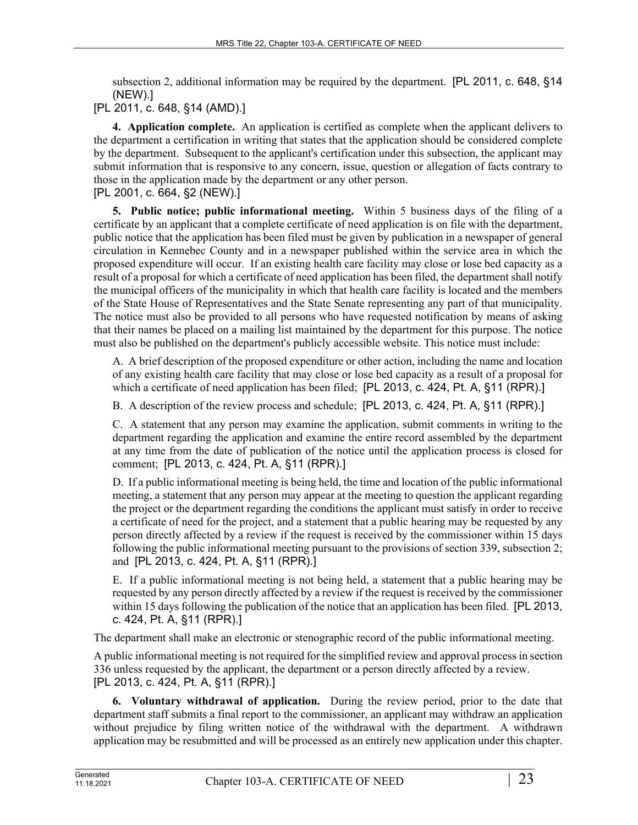subsection 2, additional information may be required by the department. [PL 2011, c. 648, §14 (NEW).]

[PL 2011, c. 648, §14 (AMD).]

**4. Application complete.** An application is certified as complete when the applicant delivers to the department a certification in writing that states that the application should be considered complete by the department. Subsequent to the applicant's certification under this subsection, the applicant may submit information that is responsive to any concern, issue, question or allegation of facts contrary to those in the application made by the department or any other person. [PL 2001, c. 664, §2 (NEW).]

**5. Public notice; public informational meeting.** Within 5 business days of the filing of a certificate by an applicant that a complete certificate of need application is on file with the department, public notice that the application has been filed must be given by publication in a newspaper of general circulation in Kennebec County and in a newspaper published within the service area in which the proposed expenditure will occur. If an existing health care facility may close or lose bed capacity as a result of a proposal for which a certificate of need application has been filed, the department shall notify the municipal officers of the municipality in which that health care facility is located and the members of the State House of Representatives and the State Senate representing any part of that municipality. The notice must also be provided to all persons who have requested notification by means of asking that their names be placed on a mailing list maintained by the department for this purpose. The notice must also be published on the department's publicly accessible website. This notice must include:

A. A brief description of the proposed expenditure or other action, including the name and location of any existing health care facility that may close or lose bed capacity as a result of a proposal for which a certificate of need application has been filed; [PL 2013, c. 424, Pt. A, §11 (RPR).]

B. A description of the review process and schedule; [PL 2013, c. 424, Pt. A, §11 (RPR).]

C. A statement that any person may examine the application, submit comments in writing to the department regarding the application and examine the entire record assembled by the department at any time from the date of publication of the notice until the application process is closed for comment; [PL 2013, c. 424, Pt. A, §11 (RPR).]

D. If a public informational meeting is being held, the time and location of the public informational meeting, a statement that any person may appear at the meeting to question the applicant regarding the project or the department regarding the conditions the applicant must satisfy in order to receive a certificate of need for the project, and a statement that a public hearing may be requested by any person directly affected by a review if the request is received by the commissioner within 15 days following the public informational meeting pursuant to the provisions of section 339, subsection 2; and [PL 2013, c. 424, Pt. A, §11 (RPR).]

E. If a public informational meeting is not being held, a statement that a public hearing may be requested by any person directly affected by a review if the request is received by the commissioner within 15 days following the publication of the notice that an application has been filed. [PL 2013, c. 424, Pt. A, §11 (RPR).]

The department shall make an electronic or stenographic record of the public informational meeting.

A public informational meeting is not required for the simplified review and approval process in section 336 unless requested by the applicant, the department or a person directly affected by a review. [PL 2013, c. 424, Pt. A, §11 (RPR).]

**6. Voluntary withdrawal of application.** During the review period, prior to the date that department staff submits a final report to the commissioner, an applicant may withdraw an application without prejudice by filing written notice of the withdrawal with the department. A withdrawn application may be resubmitted and will be processed as an entirely new application under this chapter.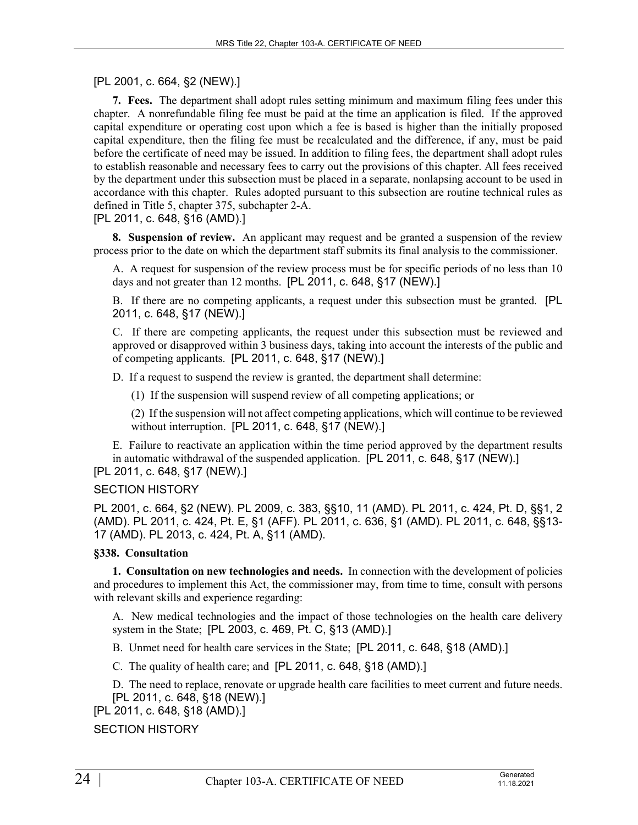[PL 2001, c. 664, §2 (NEW).]

**7. Fees.** The department shall adopt rules setting minimum and maximum filing fees under this chapter. A nonrefundable filing fee must be paid at the time an application is filed. If the approved capital expenditure or operating cost upon which a fee is based is higher than the initially proposed capital expenditure, then the filing fee must be recalculated and the difference, if any, must be paid before the certificate of need may be issued. In addition to filing fees, the department shall adopt rules to establish reasonable and necessary fees to carry out the provisions of this chapter. All fees received by the department under this subsection must be placed in a separate, nonlapsing account to be used in accordance with this chapter. Rules adopted pursuant to this subsection are routine technical rules as defined in Title 5, chapter 375, subchapter 2-A.

# [PL 2011, c. 648, §16 (AMD).]

**8. Suspension of review.** An applicant may request and be granted a suspension of the review process prior to the date on which the department staff submits its final analysis to the commissioner.

A. A request for suspension of the review process must be for specific periods of no less than 10 days and not greater than 12 months. [PL 2011, c. 648, §17 (NEW).]

B. If there are no competing applicants, a request under this subsection must be granted. [PL 2011, c. 648, §17 (NEW).]

C. If there are competing applicants, the request under this subsection must be reviewed and approved or disapproved within 3 business days, taking into account the interests of the public and of competing applicants. [PL 2011, c. 648, §17 (NEW).]

D. If a request to suspend the review is granted, the department shall determine:

(1) If the suspension will suspend review of all competing applications; or

(2) If the suspension will not affect competing applications, which will continue to be reviewed without interruption. [PL 2011, c. 648, §17 (NEW).]

E. Failure to reactivate an application within the time period approved by the department results in automatic withdrawal of the suspended application. [PL 2011, c. 648, §17 (NEW).]

# [PL 2011, c. 648, §17 (NEW).]

# SECTION HISTORY

PL 2001, c. 664, §2 (NEW). PL 2009, c. 383, §§10, 11 (AMD). PL 2011, c. 424, Pt. D, §§1, 2 (AMD). PL 2011, c. 424, Pt. E, §1 (AFF). PL 2011, c. 636, §1 (AMD). PL 2011, c. 648, §§13- 17 (AMD). PL 2013, c. 424, Pt. A, §11 (AMD).

# **§338. Consultation**

**1. Consultation on new technologies and needs.** In connection with the development of policies and procedures to implement this Act, the commissioner may, from time to time, consult with persons with relevant skills and experience regarding:

A. New medical technologies and the impact of those technologies on the health care delivery system in the State; [PL 2003, c. 469, Pt. C, §13 (AMD).]

B. Unmet need for health care services in the State; [PL 2011, c. 648, §18 (AMD).]

C. The quality of health care; and [PL 2011, c. 648, §18 (AMD).]

D. The need to replace, renovate or upgrade health care facilities to meet current and future needs. [PL 2011, c. 648, §18 (NEW).]

[PL 2011, c. 648, §18 (AMD).]

SECTION HISTORY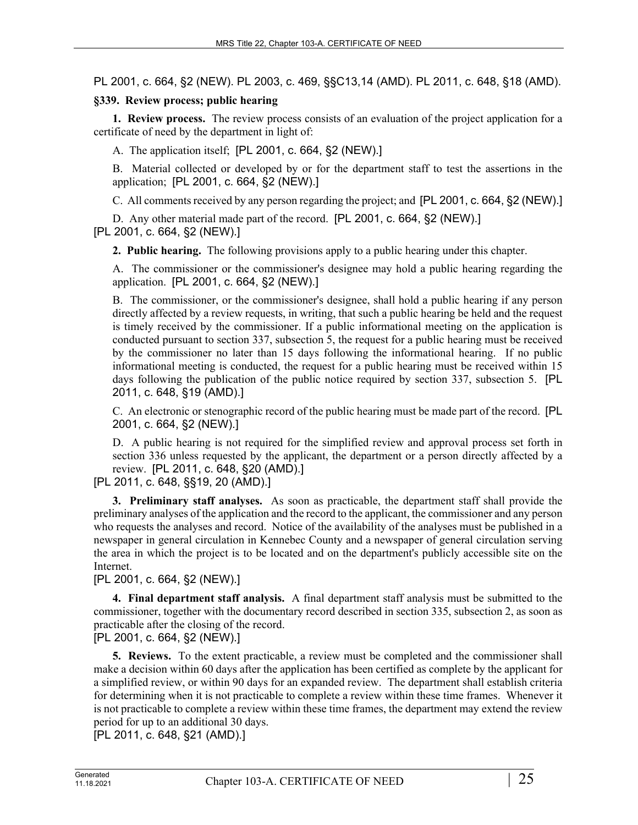PL 2001, c. 664, §2 (NEW). PL 2003, c. 469, §§C13,14 (AMD). PL 2011, c. 648, §18 (AMD).

## **§339. Review process; public hearing**

**1. Review process.** The review process consists of an evaluation of the project application for a certificate of need by the department in light of:

A. The application itself; [PL 2001, c. 664, §2 (NEW).]

B. Material collected or developed by or for the department staff to test the assertions in the application; [PL 2001, c. 664, §2 (NEW).]

C. All comments received by any person regarding the project; and [PL 2001, c. 664, §2 (NEW).]

D. Any other material made part of the record. [PL 2001, c. 664, §2 (NEW).] [PL 2001, c. 664, §2 (NEW).]

**2. Public hearing.** The following provisions apply to a public hearing under this chapter.

A. The commissioner or the commissioner's designee may hold a public hearing regarding the application. [PL 2001, c. 664, §2 (NEW).]

B. The commissioner, or the commissioner's designee, shall hold a public hearing if any person directly affected by a review requests, in writing, that such a public hearing be held and the request is timely received by the commissioner. If a public informational meeting on the application is conducted pursuant to section 337, subsection 5, the request for a public hearing must be received by the commissioner no later than 15 days following the informational hearing. If no public informational meeting is conducted, the request for a public hearing must be received within 15 days following the publication of the public notice required by section 337, subsection 5. [PL 2011, c. 648, §19 (AMD).]

C. An electronic or stenographic record of the public hearing must be made part of the record. [PL 2001, c. 664, §2 (NEW).]

D. A public hearing is not required for the simplified review and approval process set forth in section 336 unless requested by the applicant, the department or a person directly affected by a review. [PL 2011, c. 648, §20 (AMD).]

[PL 2011, c. 648, §§19, 20 (AMD).]

**3. Preliminary staff analyses.** As soon as practicable, the department staff shall provide the preliminary analyses of the application and the record to the applicant, the commissioner and any person who requests the analyses and record. Notice of the availability of the analyses must be published in a newspaper in general circulation in Kennebec County and a newspaper of general circulation serving the area in which the project is to be located and on the department's publicly accessible site on the Internet.

[PL 2001, c. 664, §2 (NEW).]

**4. Final department staff analysis.** A final department staff analysis must be submitted to the commissioner, together with the documentary record described in section 335, subsection 2, as soon as practicable after the closing of the record.

[PL 2001, c. 664, §2 (NEW).]

**5. Reviews.** To the extent practicable, a review must be completed and the commissioner shall make a decision within 60 days after the application has been certified as complete by the applicant for a simplified review, or within 90 days for an expanded review. The department shall establish criteria for determining when it is not practicable to complete a review within these time frames. Whenever it is not practicable to complete a review within these time frames, the department may extend the review period for up to an additional 30 days.

[PL 2011, c. 648, §21 (AMD).]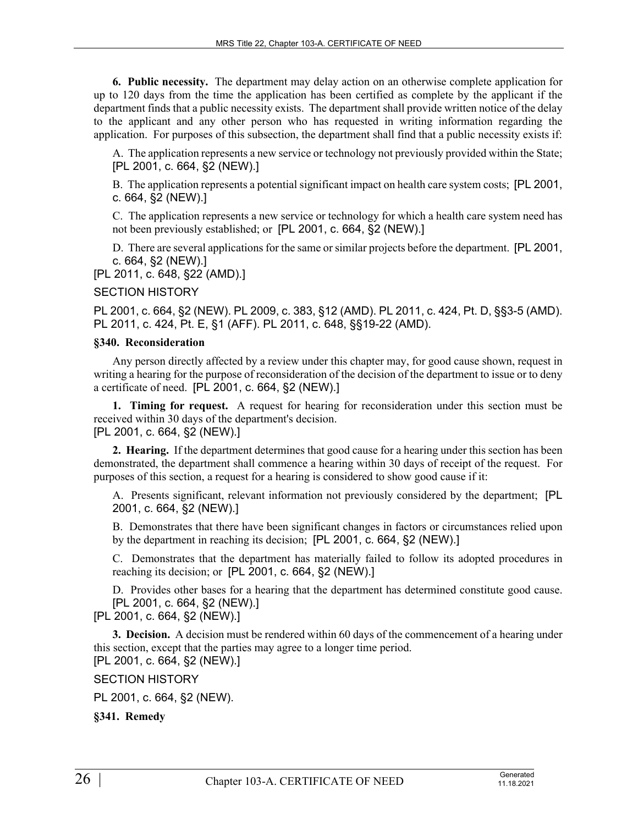**6. Public necessity.** The department may delay action on an otherwise complete application for up to 120 days from the time the application has been certified as complete by the applicant if the department finds that a public necessity exists. The department shall provide written notice of the delay to the applicant and any other person who has requested in writing information regarding the application. For purposes of this subsection, the department shall find that a public necessity exists if:

A. The application represents a new service or technology not previously provided within the State; [PL 2001, c. 664, §2 (NEW).]

B. The application represents a potential significant impact on health care system costs; [PL 2001, c. 664, §2 (NEW).]

C. The application represents a new service or technology for which a health care system need has not been previously established; or [PL 2001, c. 664, §2 (NEW).]

D. There are several applications for the same or similar projects before the department. [PL 2001, c. 664, §2 (NEW).]

[PL 2011, c. 648, §22 (AMD).]

#### SECTION HISTORY

PL 2001, c. 664, §2 (NEW). PL 2009, c. 383, §12 (AMD). PL 2011, c. 424, Pt. D, §§3-5 (AMD). PL 2011, c. 424, Pt. E, §1 (AFF). PL 2011, c. 648, §§19-22 (AMD).

#### **§340. Reconsideration**

Any person directly affected by a review under this chapter may, for good cause shown, request in writing a hearing for the purpose of reconsideration of the decision of the department to issue or to deny a certificate of need. [PL 2001, c. 664, §2 (NEW).]

**1. Timing for request.** A request for hearing for reconsideration under this section must be received within 30 days of the department's decision. [PL 2001, c. 664, §2 (NEW).]

**2. Hearing.** If the department determines that good cause for a hearing under this section has been demonstrated, the department shall commence a hearing within 30 days of receipt of the request. For purposes of this section, a request for a hearing is considered to show good cause if it:

A. Presents significant, relevant information not previously considered by the department; [PL 2001, c. 664, §2 (NEW).]

B. Demonstrates that there have been significant changes in factors or circumstances relied upon by the department in reaching its decision; [PL 2001, c. 664, §2 (NEW).]

C. Demonstrates that the department has materially failed to follow its adopted procedures in reaching its decision; or [PL 2001, c. 664, §2 (NEW).]

D. Provides other bases for a hearing that the department has determined constitute good cause. [PL 2001, c. 664, §2 (NEW).]

# [PL 2001, c. 664, §2 (NEW).]

**3. Decision.** A decision must be rendered within 60 days of the commencement of a hearing under this section, except that the parties may agree to a longer time period. [PL 2001, c. 664, §2 (NEW).]

SECTION HISTORY

PL 2001, c. 664, §2 (NEW).

**§341. Remedy**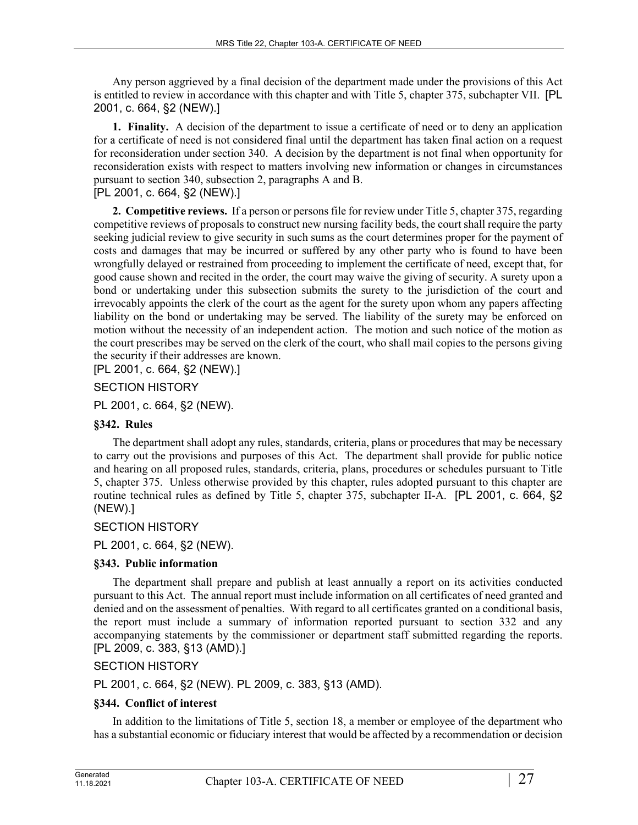Any person aggrieved by a final decision of the department made under the provisions of this Act is entitled to review in accordance with this chapter and with Title 5, chapter 375, subchapter VII. [PL 2001, c. 664, §2 (NEW).]

**1. Finality.** A decision of the department to issue a certificate of need or to deny an application for a certificate of need is not considered final until the department has taken final action on a request for reconsideration under section 340. A decision by the department is not final when opportunity for reconsideration exists with respect to matters involving new information or changes in circumstances pursuant to section 340, subsection 2, paragraphs A and B.

[PL 2001, c. 664, §2 (NEW).]

**2. Competitive reviews.** If a person or persons file for review under Title 5, chapter 375, regarding competitive reviews of proposals to construct new nursing facility beds, the court shall require the party seeking judicial review to give security in such sums as the court determines proper for the payment of costs and damages that may be incurred or suffered by any other party who is found to have been wrongfully delayed or restrained from proceeding to implement the certificate of need, except that, for good cause shown and recited in the order, the court may waive the giving of security. A surety upon a bond or undertaking under this subsection submits the surety to the jurisdiction of the court and irrevocably appoints the clerk of the court as the agent for the surety upon whom any papers affecting liability on the bond or undertaking may be served. The liability of the surety may be enforced on motion without the necessity of an independent action. The motion and such notice of the motion as the court prescribes may be served on the clerk of the court, who shall mail copies to the persons giving the security if their addresses are known.

[PL 2001, c. 664, §2 (NEW).]

### SECTION HISTORY

PL 2001, c. 664, §2 (NEW).

### **§342. Rules**

The department shall adopt any rules, standards, criteria, plans or procedures that may be necessary to carry out the provisions and purposes of this Act. The department shall provide for public notice and hearing on all proposed rules, standards, criteria, plans, procedures or schedules pursuant to Title 5, chapter 375. Unless otherwise provided by this chapter, rules adopted pursuant to this chapter are routine technical rules as defined by Title 5, chapter 375, subchapter II-A. [PL 2001, c. 664, §2 (NEW).]

### SECTION HISTORY

PL 2001, c. 664, §2 (NEW).

### **§343. Public information**

The department shall prepare and publish at least annually a report on its activities conducted pursuant to this Act. The annual report must include information on all certificates of need granted and denied and on the assessment of penalties. With regard to all certificates granted on a conditional basis, the report must include a summary of information reported pursuant to section 332 and any accompanying statements by the commissioner or department staff submitted regarding the reports. [PL 2009, c. 383, §13 (AMD).]

SECTION HISTORY

PL 2001, c. 664, §2 (NEW). PL 2009, c. 383, §13 (AMD).

### **§344. Conflict of interest**

In addition to the limitations of Title 5, section 18, a member or employee of the department who has a substantial economic or fiduciary interest that would be affected by a recommendation or decision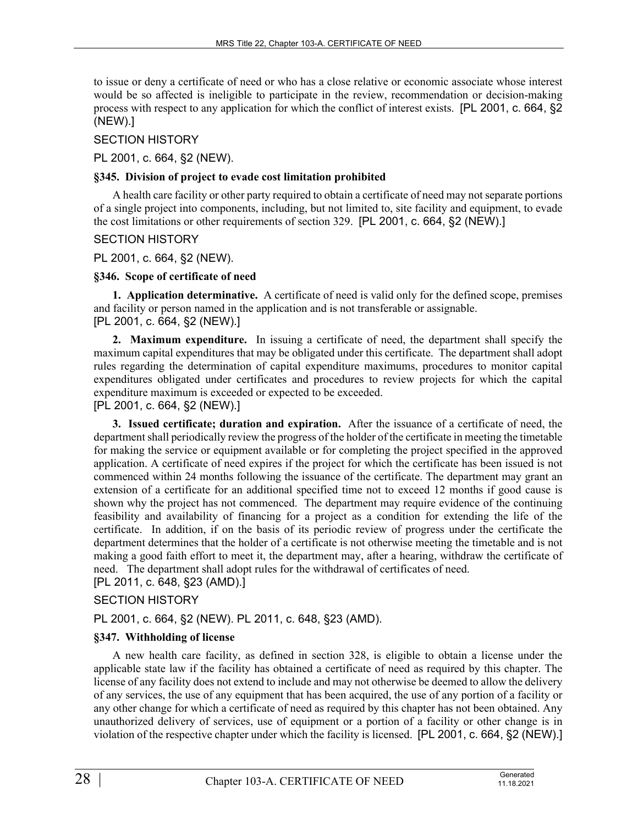to issue or deny a certificate of need or who has a close relative or economic associate whose interest would be so affected is ineligible to participate in the review, recommendation or decision-making process with respect to any application for which the conflict of interest exists. [PL 2001, c. 664, §2 (NEW).]

## SECTION HISTORY

PL 2001, c. 664, §2 (NEW).

## **§345. Division of project to evade cost limitation prohibited**

A health care facility or other party required to obtain a certificate of need may not separate portions of a single project into components, including, but not limited to, site facility and equipment, to evade the cost limitations or other requirements of section 329. [PL 2001, c. 664, §2 (NEW).]

## SECTION HISTORY

PL 2001, c. 664, §2 (NEW).

## **§346. Scope of certificate of need**

**1. Application determinative.** A certificate of need is valid only for the defined scope, premises and facility or person named in the application and is not transferable or assignable. [PL 2001, c. 664, §2 (NEW).]

**2. Maximum expenditure.** In issuing a certificate of need, the department shall specify the maximum capital expenditures that may be obligated under this certificate. The department shall adopt rules regarding the determination of capital expenditure maximums, procedures to monitor capital expenditures obligated under certificates and procedures to review projects for which the capital expenditure maximum is exceeded or expected to be exceeded. [PL 2001, c. 664, §2 (NEW).]

**3. Issued certificate; duration and expiration.** After the issuance of a certificate of need, the department shall periodically review the progress of the holder of the certificate in meeting the timetable for making the service or equipment available or for completing the project specified in the approved application. A certificate of need expires if the project for which the certificate has been issued is not commenced within 24 months following the issuance of the certificate. The department may grant an extension of a certificate for an additional specified time not to exceed 12 months if good cause is shown why the project has not commenced. The department may require evidence of the continuing feasibility and availability of financing for a project as a condition for extending the life of the certificate. In addition, if on the basis of its periodic review of progress under the certificate the department determines that the holder of a certificate is not otherwise meeting the timetable and is not making a good faith effort to meet it, the department may, after a hearing, withdraw the certificate of need. The department shall adopt rules for the withdrawal of certificates of need.

# [PL 2011, c. 648, §23 (AMD).]

# SECTION HISTORY

PL 2001, c. 664, §2 (NEW). PL 2011, c. 648, §23 (AMD).

# **§347. Withholding of license**

A new health care facility, as defined in section 328, is eligible to obtain a license under the applicable state law if the facility has obtained a certificate of need as required by this chapter. The license of any facility does not extend to include and may not otherwise be deemed to allow the delivery of any services, the use of any equipment that has been acquired, the use of any portion of a facility or any other change for which a certificate of need as required by this chapter has not been obtained. Any unauthorized delivery of services, use of equipment or a portion of a facility or other change is in violation of the respective chapter under which the facility is licensed. [PL 2001, c. 664, §2 (NEW).]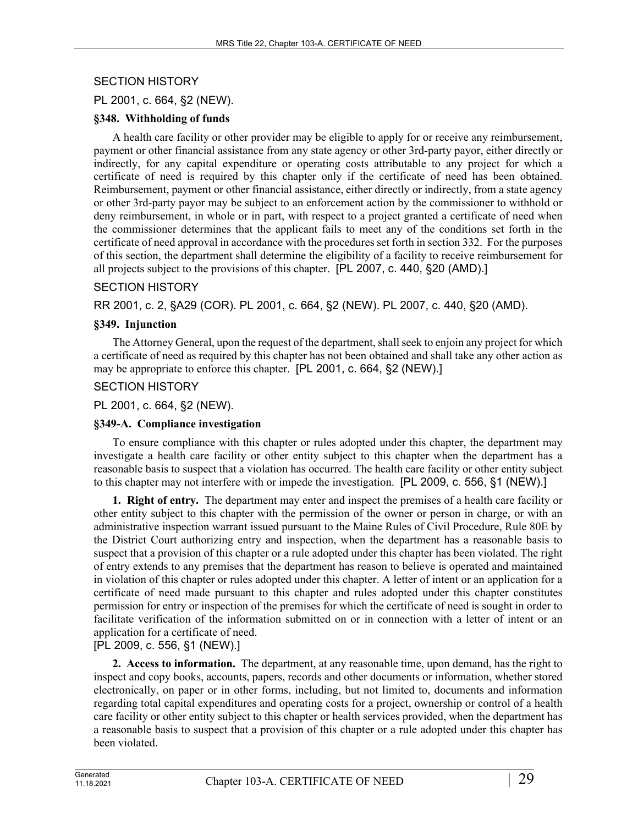# SECTION HISTORY

# PL 2001, c. 664, §2 (NEW).

### **§348. Withholding of funds**

A health care facility or other provider may be eligible to apply for or receive any reimbursement, payment or other financial assistance from any state agency or other 3rd-party payor, either directly or indirectly, for any capital expenditure or operating costs attributable to any project for which a certificate of need is required by this chapter only if the certificate of need has been obtained. Reimbursement, payment or other financial assistance, either directly or indirectly, from a state agency or other 3rd-party payor may be subject to an enforcement action by the commissioner to withhold or deny reimbursement, in whole or in part, with respect to a project granted a certificate of need when the commissioner determines that the applicant fails to meet any of the conditions set forth in the certificate of need approval in accordance with the procedures set forth in section 332. For the purposes of this section, the department shall determine the eligibility of a facility to receive reimbursement for all projects subject to the provisions of this chapter. [PL 2007, c. 440, §20 (AMD).]

## SECTION HISTORY

RR 2001, c. 2, §A29 (COR). PL 2001, c. 664, §2 (NEW). PL 2007, c. 440, §20 (AMD).

## **§349. Injunction**

The Attorney General, upon the request of the department, shall seek to enjoin any project for which a certificate of need as required by this chapter has not been obtained and shall take any other action as may be appropriate to enforce this chapter. [PL 2001, c. 664, §2 (NEW).]

## SECTION HISTORY

PL 2001, c. 664, §2 (NEW).

# **§349-A. Compliance investigation**

To ensure compliance with this chapter or rules adopted under this chapter, the department may investigate a health care facility or other entity subject to this chapter when the department has a reasonable basis to suspect that a violation has occurred. The health care facility or other entity subject to this chapter may not interfere with or impede the investigation. [PL 2009, c. 556, §1 (NEW).]

**1. Right of entry.** The department may enter and inspect the premises of a health care facility or other entity subject to this chapter with the permission of the owner or person in charge, or with an administrative inspection warrant issued pursuant to the Maine Rules of Civil Procedure, Rule 80E by the District Court authorizing entry and inspection, when the department has a reasonable basis to suspect that a provision of this chapter or a rule adopted under this chapter has been violated. The right of entry extends to any premises that the department has reason to believe is operated and maintained in violation of this chapter or rules adopted under this chapter. A letter of intent or an application for a certificate of need made pursuant to this chapter and rules adopted under this chapter constitutes permission for entry or inspection of the premises for which the certificate of need is sought in order to facilitate verification of the information submitted on or in connection with a letter of intent or an application for a certificate of need.

[PL 2009, c. 556, §1 (NEW).]

**2. Access to information.** The department, at any reasonable time, upon demand, has the right to inspect and copy books, accounts, papers, records and other documents or information, whether stored electronically, on paper or in other forms, including, but not limited to, documents and information regarding total capital expenditures and operating costs for a project, ownership or control of a health care facility or other entity subject to this chapter or health services provided, when the department has a reasonable basis to suspect that a provision of this chapter or a rule adopted under this chapter has been violated.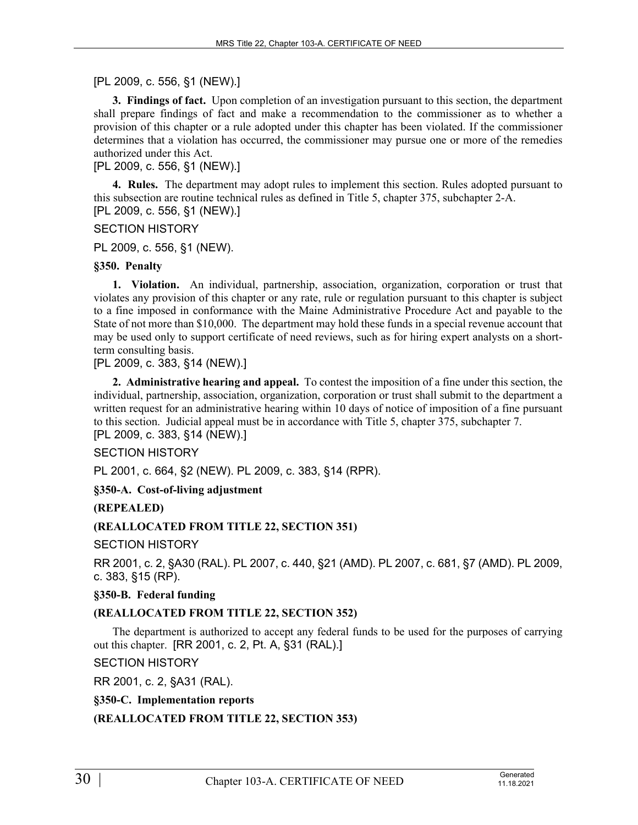# [PL 2009, c. 556, §1 (NEW).]

**3. Findings of fact.** Upon completion of an investigation pursuant to this section, the department shall prepare findings of fact and make a recommendation to the commissioner as to whether a provision of this chapter or a rule adopted under this chapter has been violated. If the commissioner determines that a violation has occurred, the commissioner may pursue one or more of the remedies authorized under this Act.

[PL 2009, c. 556, §1 (NEW).]

**4. Rules.** The department may adopt rules to implement this section. Rules adopted pursuant to this subsection are routine technical rules as defined in Title 5, chapter 375, subchapter 2-A. [PL 2009, c. 556, §1 (NEW).]

SECTION HISTORY

PL 2009, c. 556, §1 (NEW).

### **§350. Penalty**

**1. Violation.** An individual, partnership, association, organization, corporation or trust that violates any provision of this chapter or any rate, rule or regulation pursuant to this chapter is subject to a fine imposed in conformance with the Maine Administrative Procedure Act and payable to the State of not more than \$10,000. The department may hold these funds in a special revenue account that may be used only to support certificate of need reviews, such as for hiring expert analysts on a shortterm consulting basis.

[PL 2009, c. 383, §14 (NEW).]

**2. Administrative hearing and appeal.** To contest the imposition of a fine under this section, the individual, partnership, association, organization, corporation or trust shall submit to the department a written request for an administrative hearing within 10 days of notice of imposition of a fine pursuant to this section. Judicial appeal must be in accordance with Title 5, chapter 375, subchapter 7. [PL 2009, c. 383, §14 (NEW).]

### SECTION HISTORY

PL 2001, c. 664, §2 (NEW). PL 2009, c. 383, §14 (RPR).

### **§350-A. Cost-of-living adjustment**

### **(REPEALED)**

### **(REALLOCATED FROM TITLE 22, SECTION 351)**

SECTION HISTORY

RR 2001, c. 2, §A30 (RAL). PL 2007, c. 440, §21 (AMD). PL 2007, c. 681, §7 (AMD). PL 2009, c. 383, §15 (RP).

### **§350-B. Federal funding**

# **(REALLOCATED FROM TITLE 22, SECTION 352)**

The department is authorized to accept any federal funds to be used for the purposes of carrying out this chapter. [RR 2001, c. 2, Pt. A, §31 (RAL).]

### SECTION HISTORY

RR 2001, c. 2, §A31 (RAL).

# **§350-C. Implementation reports**

**(REALLOCATED FROM TITLE 22, SECTION 353)**